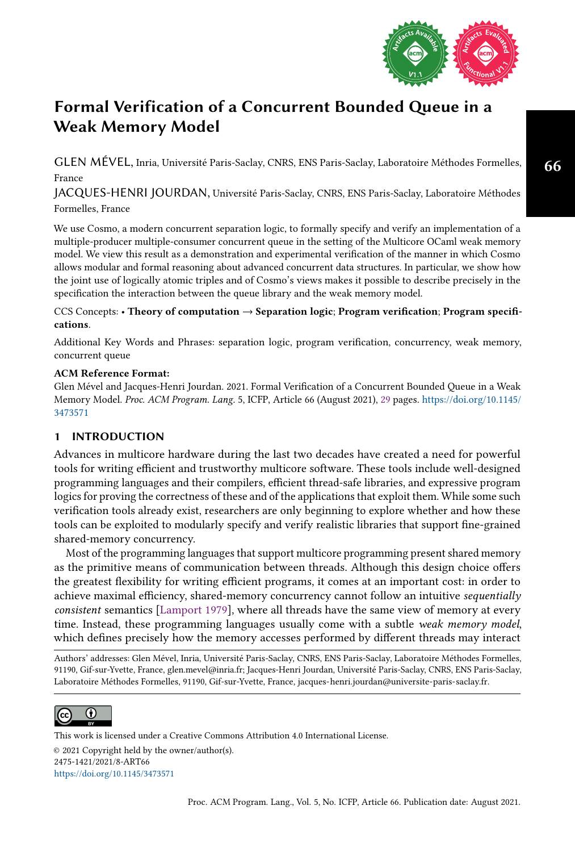

<span id="page-0-0"></span>GLEN MÉVEL, Inria, Université Paris-Saclay, CNRS, ENS Paris-Saclay, Laboratoire Méthodes Formelles, France

JACQUES-HENRI JOURDAN, Université Paris-Saclay, CNRS, ENS Paris-Saclay, Laboratoire Méthodes Formelles, France

We use Cosmo, a modern concurrent separation logic, to formally specify and verify an implementation of a multiple-producer multiple-consumer concurrent queue in the setting of the Multicore OCaml weak memory model. We view this result as a demonstration and experimental verification of the manner in which Cosmo allows modular and formal reasoning about advanced concurrent data structures. In particular, we show how the joint use of logically atomic triples and of Cosmo's views makes it possible to describe precisely in the specification the interaction between the queue library and the weak memory model.

## CCS Concepts: • Theory of computation  $\rightarrow$  Separation logic; Program verification; Program specifications.

Additional Key Words and Phrases: separation logic, program verification, concurrency, weak memory, concurrent queue

## ACM Reference Format:

Glen Mével and Jacques-Henri Jourdan. 2021. Formal Verification of a Concurrent Bounded Queue in a Weak Memory Model. Proc. ACM Program. Lang. 5, ICFP, Article 66 (August 2021), [29](#page-28-0) pages. [https://doi.org/10.1145/](https://doi.org/10.1145/3473571) [3473571](https://doi.org/10.1145/3473571)

## 1 INTRODUCTION

Advances in multicore hardware during the last two decades have created a need for powerful tools for writing efficient and trustworthy multicore software. These tools include well-designed programming languages and their compilers, efficient thread-safe libraries, and expressive program logics for proving the correctness of these and of the applications that exploit them. While some such verification tools already exist, researchers are only beginning to explore whether and how these tools can be exploited to modularly specify and verify realistic libraries that support fine-grained shared-memory concurrency.

Most of the programming languages that support multicore programming present shared memory as the primitive means of communication between threads. Although this design choice offers the greatest flexibility for writing efficient programs, it comes at an important cost: in order to achieve maximal efficiency, shared-memory concurrency cannot follow an intuitive sequentially consistent semantics [\[Lamport 1979\]](#page-27-0), where all threads have the same view of memory at every time. Instead, these programming languages usually come with a subtle weak memory model, which defines precisely how the memory accesses performed by different threads may interact

Authors' addresses: Glen Mével, Inria, Université Paris-Saclay, CNRS, ENS Paris-Saclay, Laboratoire Méthodes Formelles, 91190, Gif-sur-Yvette, France, glen.mevel@inria.fr; Jacques-Henri Jourdan, Université Paris-Saclay, CNRS, ENS Paris-Saclay, Laboratoire Méthodes Formelles, 91190, Gif-sur-Yvette, France, jacques-henri.jourdan@universite-paris-saclay.fr.



© 2021 Copyright held by the owner/author(s). 2475-1421/2021/8-ART66 <https://doi.org/10.1145/3473571> [This work is licensed under a Creative Commons Attribution 4.0 International License.](http://creativecommons.org/licenses/by/4.0/)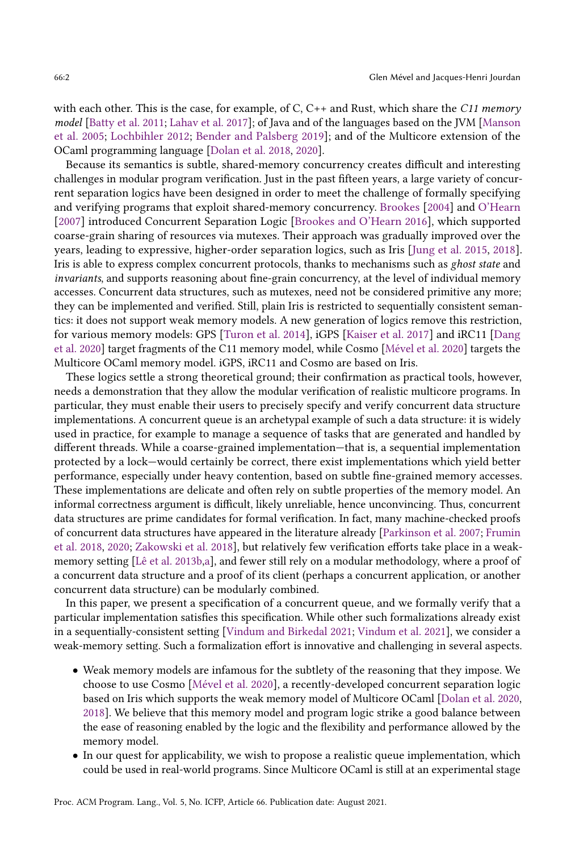with each other. This is the case, for example, of C, C++ and Rust, which share the C11 memory model [\[Batty et al.](#page-26-0) [2011;](#page-26-0) [Lahav et al.](#page-27-1) [2017\]](#page-27-1); of Java and of the languages based on the JVM [\[Manson](#page-27-2) [et al.](#page-27-2) [2005;](#page-27-2) [Lochbihler 2012;](#page-27-3) [Bender and Palsberg 2019\]](#page-26-1); and of the Multicore extension of the OCaml programming language [\[Dolan et al. 2018,](#page-26-2) [2020\]](#page-26-3).

Because its semantics is subtle, shared-memory concurrency creates difficult and interesting challenges in modular program verification. Just in the past fifteen years, a large variety of concurrent separation logics have been designed in order to meet the challenge of formally specifying and verifying programs that exploit shared-memory concurrency. [Brookes](#page-26-4) [\[2004\]](#page-26-4) and [O'Hearn](#page-27-4) [\[2007\]](#page-27-4) introduced Concurrent Separation Logic [\[Brookes and O'Hearn 2016\]](#page-26-5), which supported coarse-grain sharing of resources via mutexes. Their approach was gradually improved over the years, leading to expressive, higher-order separation logics, such as Iris [\[Jung et al.](#page-27-5) [2015,](#page-27-5) [2018\]](#page-27-6). Iris is able to express complex concurrent protocols, thanks to mechanisms such as ghost state and invariants, and supports reasoning about fine-grain concurrency, at the level of individual memory accesses. Concurrent data structures, such as mutexes, need not be considered primitive any more; they can be implemented and verified. Still, plain Iris is restricted to sequentially consistent semantics: it does not support weak memory models. A new generation of logics remove this restriction, for various memory models: GPS [\[Turon et al.](#page-28-1) [2014\]](#page-28-1), iGPS [\[Kaiser et al.](#page-27-7) [2017\]](#page-27-7) and iRC11 [\[Dang](#page-26-6) [et al.](#page-26-6) [2020\]](#page-26-6) target fragments of the C11 memory model, while Cosmo [\[Mével et al.](#page-27-8) [2020\]](#page-27-8) targets the Multicore OCaml memory model. iGPS, iRC11 and Cosmo are based on Iris.

These logics settle a strong theoretical ground; their confirmation as practical tools, however, needs a demonstration that they allow the modular verification of realistic multicore programs. In particular, they must enable their users to precisely specify and verify concurrent data structure implementations. A concurrent queue is an archetypal example of such a data structure: it is widely used in practice, for example to manage a sequence of tasks that are generated and handled by different threads. While a coarse-grained implementation–that is, a sequential implementation protected by a lock—would certainly be correct, there exist implementations which yield better performance, especially under heavy contention, based on subtle fine-grained memory accesses. These implementations are delicate and often rely on subtle properties of the memory model. An informal correctness argument is difficult, likely unreliable, hence unconvincing. Thus, concurrent data structures are prime candidates for formal verification. In fact, many machine-checked proofs of concurrent data structures have appeared in the literature already [\[Parkinson et al.](#page-27-9) [2007;](#page-27-9) [Frumin](#page-26-7) [et al.](#page-26-7) [2018,](#page-26-7) [2020;](#page-26-8) [Zakowski et al.](#page-28-2) [2018\]](#page-28-2), but relatively few verification efforts take place in a weakmemory setting [\[Lê et al.](#page-27-10) [2013b](#page-27-10)[,a\]](#page-27-11), and fewer still rely on a modular methodology, where a proof of a concurrent data structure and a proof of its client (perhaps a concurrent application, or another concurrent data structure) can be modularly combined.

In this paper, we present a specification of a concurrent queue, and we formally verify that a particular implementation satisfies this specification. While other such formalizations already exist in a sequentially-consistent setting [\[Vindum and Birkedal 2021;](#page-28-3) [Vindum et al.](#page-28-4) [2021\]](#page-28-4), we consider a weak-memory setting. Such a formalization effort is innovative and challenging in several aspects.

- Weak memory models are infamous for the subtlety of the reasoning that they impose. We choose to use Cosmo [\[Mével et al.](#page-27-8) [2020\]](#page-27-8), a recently-developed concurrent separation logic based on Iris which supports the weak memory model of Multicore OCaml [\[Dolan et al.](#page-26-3) [2020,](#page-26-3) [2018\]](#page-26-2). We believe that this memory model and program logic strike a good balance between the ease of reasoning enabled by the logic and the flexibility and performance allowed by the memory model.
- In our quest for applicability, we wish to propose a realistic queue implementation, which could be used in real-world programs. Since Multicore OCaml is still at an experimental stage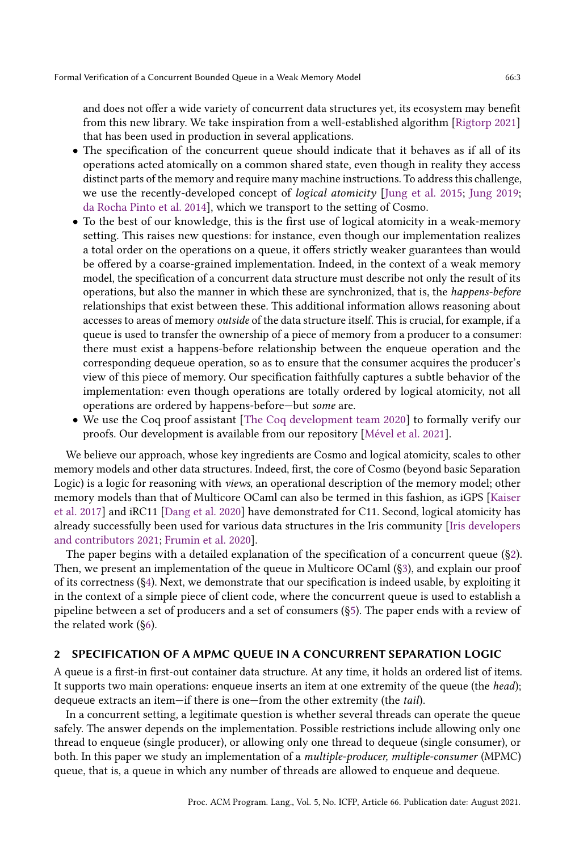and does not offer a wide variety of concurrent data structures yet, its ecosystem may benefit from this new library. We take inspiration from a well-established algorithm [\[Rigtorp 2021\]](#page-27-12) that has been used in production in several applications.

- The specification of the concurrent queue should indicate that it behaves as if all of its operations acted atomically on a common shared state, even though in reality they access distinct parts of the memory and require many machine instructions. To address this challenge, we use the recently-developed concept of *logical atomicity* [\[Jung et al.](#page-27-5) [2015;](#page-27-5) [Jung 2019;](#page-27-13) [da Rocha Pinto et al. 2014\]](#page-26-9), which we transport to the setting of Cosmo.
- To the best of our knowledge, this is the first use of logical atomicity in a weak-memory setting. This raises new questions: for instance, even though our implementation realizes a total order on the operations on a queue, it offers strictly weaker guarantees than would be offered by a coarse-grained implementation. Indeed, in the context of a weak memory model, the specification of a concurrent data structure must describe not only the result of its operations, but also the manner in which these are synchronized, that is, the happens-before relationships that exist between these. This additional information allows reasoning about accesses to areas of memory outside of the data structure itself. This is crucial, for example, if a queue is used to transfer the ownership of a piece of memory from a producer to a consumer: there must exist a happens-before relationship between the enqueue operation and the corresponding dequeue operation, so as to ensure that the consumer acquires the producer's view of this piece of memory. Our specification faithfully captures a subtle behavior of the implementation: even though operations are totally ordered by logical atomicity, not all operations are ordered by happens-before-but some are.
- We use the Coq proof assistant [\[The Coq development team 2020\]](#page-27-14) to formally verify our proofs. Our development is available from our repository [\[Mével et al. 2021\]](#page-27-15).

We believe our approach, whose key ingredients are Cosmo and logical atomicity, scales to other memory models and other data structures. Indeed, first, the core of Cosmo (beyond basic Separation Logic) is a logic for reasoning with views, an operational description of the memory model; other memory models than that of Multicore OCaml can also be termed in this fashion, as iGPS [\[Kaiser](#page-27-7) [et al.](#page-27-7) [2017\]](#page-27-7) and iRC11 [\[Dang et al.](#page-26-6) [2020\]](#page-26-6) have demonstrated for C11. Second, logical atomicity has already successfully been used for various data structures in the Iris community [\[Iris developers](#page-26-10) [and contributors 2021;](#page-26-10) [Frumin et al. 2020\]](#page-26-8).

The paper begins with a detailed explanation of the specification of a concurrent queue ([ğ2\)](#page-2-0). Then, we present an implementation of the queue in Multicore OCaml ([ğ3\)](#page-9-0), and explain our proof of its correctness ([ğ4\)](#page-13-0). Next, we demonstrate that our specification is indeed usable, by exploiting it in the context of a simple piece of client code, where the concurrent queue is used to establish a pipeline between a set of producers and a set of consumers ([ğ5\)](#page-22-0). The paper ends with a review of the related work ([ğ6\)](#page-25-0).

## <span id="page-2-0"></span>2 SPECIFICATION OF A MPMC QUEUE IN A CONCURRENT SEPARATION LOGIC

A queue is a first-in first-out container data structure. At any time, it holds an ordered list of items. It supports two main operations: enqueue inserts an item at one extremity of the queue (the head); dequeue extracts an item—if there is one—from the other extremity (the tail).

In a concurrent setting, a legitimate question is whether several threads can operate the queue safely. The answer depends on the implementation. Possible restrictions include allowing only one thread to enqueue (single producer), or allowing only one thread to dequeue (single consumer), or both. In this paper we study an implementation of a multiple-producer, multiple-consumer (MPMC) queue, that is, a queue in which any number of threads are allowed to enqueue and dequeue.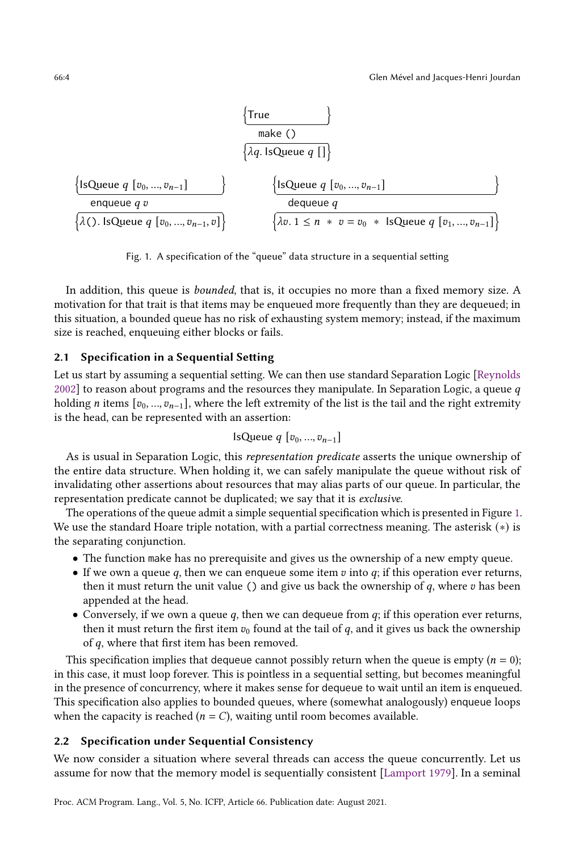<span id="page-3-0"></span>
$$
\left\{\begin{array}{c}\n\text{True} \\
\text{make ()} \\
\downarrow\n\end{array}\right\}
$$
\n
$$
\left\{\begin{array}{c}\n\text{1:} \text{1:} \text{1:} \text{1:} \text{1:} \text{1:} \text{1:} \text{1:} \text{1:} \text{1:} \text{1:} \text{1:} \text{1:} \text{1:} \text{1:} \text{1:} \text{1:} \text{1:} \text{1:} \text{1:} \text{1:} \text{1:} \text{1:} \text{1:} \text{1:} \text{1:} \text{1:} \text{1:} \text{1:} \text{1:} \text{1:} \text{1:} \text{1:} \text{1:} \text{1:} \text{1:} \text{1:} \text{1:} \text{1:} \text{1:} \text{1:} \text{1:} \text{1:} \text{1:} \text{1:} \text{1:} \text{1:} \text{1:} \text{1:} \text{1:} \text{1:} \text{1:} \text{1:} \text{1:} \text{1:} \text{1:} \text{1:} \text{1:} \text{1:} \text{1:} \text{1:} \text{1:} \text{1:} \text{1:} \text{1:} \text{1:} \text{1:} \text{1:} \text{1:} \text{1:} \text{1:} \text{1:} \text{1:} \text{1:} \text{1:} \text{1:} \text{1:} \text{1:} \text{1:} \text{1:} \text{1:} \text{1:} \text{1:} \text{1:} \text{1:} \text{1:} \text{1:} \text{1:} \text{1:} \text{1:} \text{1:} \text{1:} \text{1:} \text{1:} \text{1:} \text{1:} \text{1:} \text{1:} \text{1:} \text{1:} \text{1:} \text{1:} \text{1:} \text{1:} \text{1:} \text{1:} \text{1:} \text{1:} \text{1:} \text{1:} \text{1:} \text{1:} \text{1:} \text{1:} \text{1:} \text{1:} \text{1:} \text{
$$

Fig. 1. A specification of the "queue" data structure in a sequential setting

In addition, this queue is *bounded*, that is, it occupies no more than a fixed memory size. A motivation for that trait is that items may be enqueued more frequently than they are dequeued; in this situation, a bounded queue has no risk of exhausting system memory; instead, if the maximum size is reached, enqueuing either blocks or fails.

## 2.1 Specification in a Sequential Setting

Let us start by assuming a sequential setting. We can then use standard Separation Logic [\[Reynolds](#page-27-16) [2002\]](#page-27-16) to reason about programs and the resources they manipulate. In Separation Logic, a queue  $q$ holding *n* items  $[v_0, ..., v_{n-1}]$ , where the left extremity of the list is the tail and the right extremity is the head, can be represented with an assertion:

IsQueue 
$$
q
$$
 [ $v_0, ..., v_{n-1}$ ]

As is usual in Separation Logic, this representation predicate asserts the unique ownership of the entire data structure. When holding it, we can safely manipulate the queue without risk of invalidating other assertions about resources that may alias parts of our queue. In particular, the representation predicate cannot be duplicated; we say that it is exclusive.

The operations of the queue admit a simple sequential specification which is presented in Figure [1.](#page-3-0) We use the standard Hoare triple notation, with a partial correctness meaning. The asterisk (∗) is the separating conjunction.

- The function make has no prerequisite and gives us the ownership of a new empty queue.
- If we own a queue q, then we can enqueue some item  $v$  into  $q$ ; if this operation ever returns, then it must return the unit value () and give us back the ownership of  $q$ , where  $v$  has been appended at the head.
- Conversely, if we own a queue  $q$ , then we can dequeue from  $q$ ; if this operation ever returns, then it must return the first item  $v_0$  found at the tail of  $q$ , and it gives us back the ownership of  $q$ , where that first item has been removed.

This specification implies that dequeue cannot possibly return when the queue is empty  $(n = 0)$ ; in this case, it must loop forever. This is pointless in a sequential setting, but becomes meaningful in the presence of concurrency, where it makes sense for dequeue to wait until an item is enqueued. This specification also applies to bounded queues, where (somewhat analogously) enqueue loops when the capacity is reached ( $n = C$ ), waiting until room becomes available.

## <span id="page-3-1"></span>2.2 Specification under Sequential Consistency

We now consider a situation where several threads can access the queue concurrently. Let us assume for now that the memory model is sequentially consistent [\[Lamport 1979\]](#page-27-0). In a seminal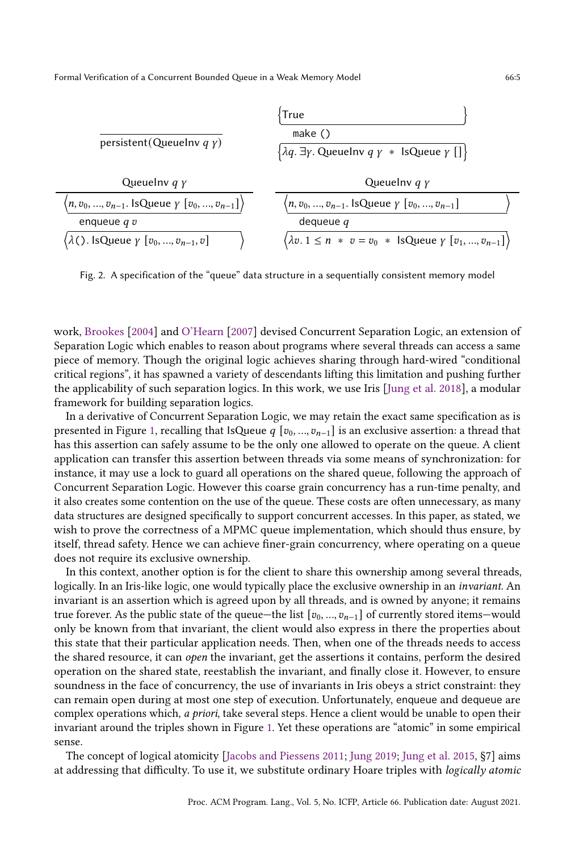<span id="page-4-0"></span>

Fig. 2. A specification of the "queue" data structure in a sequentially consistent memory model

work, [Brookes](#page-26-4) [\[2004\]](#page-26-4) and [O'Hearn](#page-27-4) [\[2007\]](#page-27-4) devised Concurrent Separation Logic, an extension of Separation Logic which enables to reason about programs where several threads can access a same piece of memory. Though the original logic achieves sharing through hard-wired "conditional critical regionsž, it has spawned a variety of descendants lifting this limitation and pushing further the applicability of such separation logics. In this work, we use Iris [\[Jung et al.](#page-27-6) [2018\]](#page-27-6), a modular framework for building separation logics.

In a derivative of Concurrent Separation Logic, we may retain the exact same specification as is presented in Figure [1,](#page-3-0) recalling that IsQueue  $q$  [ $v_0, ..., v_{n-1}$ ] is an exclusive assertion: a thread that has this assertion can safely assume to be the only one allowed to operate on the queue. A client application can transfer this assertion between threads via some means of synchronization: for instance, it may use a lock to guard all operations on the shared queue, following the approach of Concurrent Separation Logic. However this coarse grain concurrency has a run-time penalty, and it also creates some contention on the use of the queue. These costs are often unnecessary, as many data structures are designed specifically to support concurrent accesses. In this paper, as stated, we wish to prove the correctness of a MPMC queue implementation, which should thus ensure, by itself, thread safety. Hence we can achieve finer-grain concurrency, where operating on a queue does not require its exclusive ownership.

In this context, another option is for the client to share this ownership among several threads, logically. In an Iris-like logic, one would typically place the exclusive ownership in an *invariant*. An invariant is an assertion which is agreed upon by all threads, and is owned by anyone; it remains true forever. As the public state of the queue–the list  $[v_0, ..., v_{n-1}]$  of currently stored items–would only be known from that invariant, the client would also express in there the properties about this state that their particular application needs. Then, when one of the threads needs to access the shared resource, it can open the invariant, get the assertions it contains, perform the desired operation on the shared state, reestablish the invariant, and finally close it. However, to ensure soundness in the face of concurrency, the use of invariants in Iris obeys a strict constraint: they can remain open during at most one step of execution. Unfortunately, enqueue and dequeue are complex operations which, a priori, take several steps. Hence a client would be unable to open their invariant around the triples shown in Figure [1.](#page-3-0) Yet these operations are "atomic" in some empirical sense.

The concept of logical atomicity [\[Jacobs and Piessens 2011;](#page-27-17) [Jung 2019;](#page-27-13) [Jung et al.](#page-27-5) [2015,](#page-27-5) ğ7] aims at addressing that difficulty. To use it, we substitute ordinary Hoare triples with logically atomic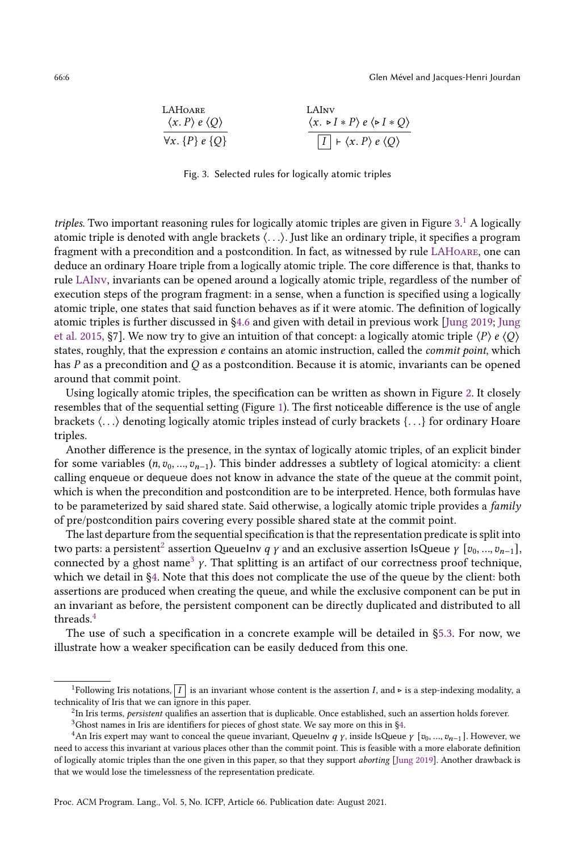<span id="page-5-1"></span><span id="page-5-0"></span>LAHoare  
\n
$$
\langle x. P \rangle e \langle Q \rangle
$$
  
\n $\langle x. P \rangle e \langle Q \rangle$   
\n $\langle x. P \rangle e \langle P \rangle$   
\n $\langle x. P \rangle e \langle P \rangle$   
\n $\langle x. P \rangle e \langle Q \rangle$ 

<span id="page-5-2"></span>Fig. 3. Selected rules for logically atomic triples

triples. Two important reasoning rules for logically atomic triples are given in Figure [3.](#page-5-0)<sup>[1](#page-0-0)</sup> A logically atomic triple is denoted with angle brackets ⟨. . .⟩. Just like an ordinary triple, it specifies a program fragment with a precondition and a postcondition. In fact, as witnessed by rule [LAHoare](#page-5-1), one can deduce an ordinary Hoare triple from a logically atomic triple. The core difference is that, thanks to rule [LAInv](#page-5-2), invariants can be opened around a logically atomic triple, regardless of the number of execution steps of the program fragment: in a sense, when a function is specified using a logically atomic triple, one states that said function behaves as if it were atomic. The definition of logically atomic triples is further discussed in [ğ4.6](#page-19-0) and given with detail in previous work [\[Jung 2019;](#page-27-13) [Jung](#page-27-5) [et al.](#page-27-5) [2015,](#page-27-5) §7]. We now try to give an intuition of that concept: a logically atomic triple  $\langle P \rangle e \langle Q \rangle$ states, roughly, that the expression  $e$  contains an atomic instruction, called the *commit point*, which has  $P$  as a precondition and  $Q$  as a postcondition. Because it is atomic, invariants can be opened around that commit point.

Using logically atomic triples, the specification can be written as shown in Figure [2.](#page-4-0) It closely resembles that of the sequential setting (Figure [1\)](#page-3-0). The first noticeable difference is the use of angle brackets ⟨. . .⟩ denoting logically atomic triples instead of curly brackets {. . .} for ordinary Hoare triples.

Another difference is the presence, in the syntax of logically atomic triples, of an explicit binder for some variables  $(n, v_0, ..., v_{n-1})$ . This binder addresses a subtlety of logical atomicity: a client calling enqueue or dequeue does not know in advance the state of the queue at the commit point, which is when the precondition and postcondition are to be interpreted. Hence, both formulas have to be parameterized by said shared state. Said otherwise, a logically atomic triple provides a family of pre/postcondition pairs covering every possible shared state at the commit point.

The last departure from the sequential specification is that the representation predicate is split into two parts: a persistent $^2$  $^2$  assertion QueueInv  $q$   $\gamma$  and an exclusive assertion IsQueue  $\gamma$   $[v_0,...,v_{n-1}],$ connected by a ghost name<sup>[3](#page-0-0)</sup>  $\gamma$ . That splitting is an artifact of our correctness proof technique, which we detail in [ğ4.](#page-13-0) Note that this does not complicate the use of the queue by the client: both assertions are produced when creating the queue, and while the exclusive component can be put in an invariant as before, the persistent component can be directly duplicated and distributed to all threads.[4](#page-0-0)

The use of such a specification in a concrete example will be detailed in [ğ5.3.](#page-24-0) For now, we illustrate how a weaker specification can be easily deduced from this one.

Proc. ACM Program. Lang., Vol. 5, No. ICFP, Article 66. Publication date: August 2021.

<sup>&</sup>lt;sup>1</sup>Following Iris notations,  $\boxed{I}$  is an invariant whose content is the assertion *I*, and ⊳ is a step-indexing modality, a technicality of Iris that we can ignore in this paper.

 $^2$ In Iris terms, *persistent* qualifies an assertion that is duplicable. Once established, such an assertion holds forever.

 $3$ Ghost names in Iris are identifiers for pieces of ghost state. We say more on this in §4.

<sup>&</sup>lt;sup>4</sup>An Iris expert may want to conceal the queue invariant, QueueInv q  $\gamma$ , inside IsQueue  $\gamma$  [ $v_0, ..., v_{n-1}$ ]. However, we need to access this invariant at various places other than the commit point. This is feasible with a more elaborate definition of logically atomic triples than the one given in this paper, so that they support aborting [\[Jung 2019\]](#page-27-13). Another drawback is that we would lose the timelessness of the representation predicate.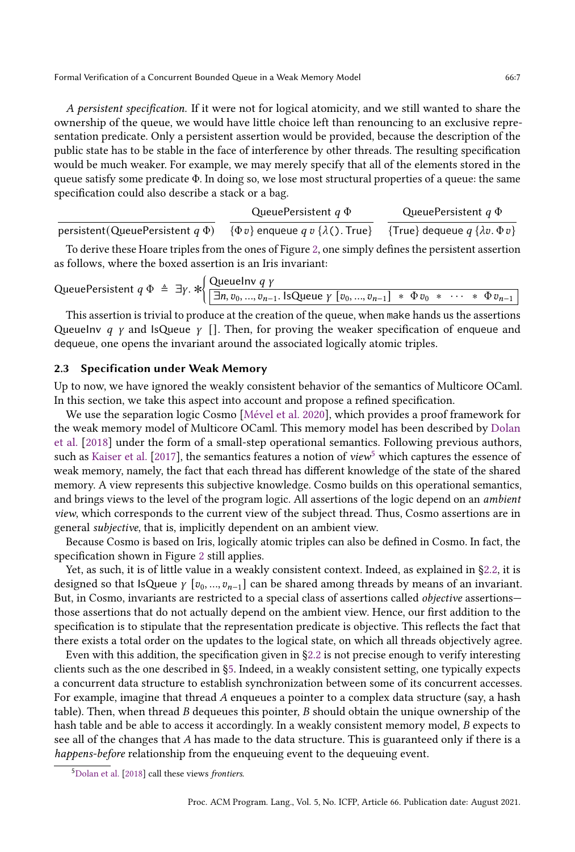A persistent specification. If it were not for logical atomicity, and we still wanted to share the ownership of the queue, we would have little choice left than renouncing to an exclusive representation predicate. Only a persistent assertion would be provided, because the description of the public state has to be stable in the face of interference by other threads. The resulting specification would be much weaker. For example, we may merely specify that all of the elements stored in the queue satisfy some predicate Φ. In doing so, we lose most structural properties of a queue: the same specification could also describe a stack or a bag.

persistent(QueuePersistent  $q \Phi$ ) QueuePersistent  $q \Phi$  $\{\Phi v\}$  enqueue  $q v \{\lambda$ (). True} {True} dequeue  $q \{\lambda v.\Phi v\}$ QueuePersistent  $q \Phi$ 

To derive these Hoare triples from the ones of Figure [2,](#page-4-0) one simply defines the persistent assertion as follows, where the boxed assertion is an Iris invariant:

QueuePersistent  $q \Phi \triangleq \exists y. * \begin{cases} \text{QueueInv } q & y \\ \boxed{\exists n \ y_0} & n_n \end{cases}$  $\exists n, v_0, ..., v_{n-1}$ . IsQueue  $\gamma$   $[v_0, ..., v_{n-1}]$  \*  $\Phi v_0$  \*  $\cdots$  \*  $\Phi v_{n-1}$ 

This assertion is trivial to produce at the creation of the queue, when make hands us the assertions Queuelny *q*  $\gamma$  and IsQueue  $\gamma$  []. Then, for proving the weaker specification of enqueue and dequeue, one opens the invariant around the associated logically atomic triples.

#### <span id="page-6-0"></span>2.3 Specification under Weak Memory

Up to now, we have ignored the weakly consistent behavior of the semantics of Multicore OCaml. In this section, we take this aspect into account and propose a refined specification.

We use the separation logic Cosmo [\[Mével et al.](#page-27-8) [2020\]](#page-27-8), which provides a proof framework for the weak memory model of Multicore OCaml. This memory model has been described by [Dolan](#page-26-2) [et al.](#page-26-2) [\[2018\]](#page-26-2) under the form of a small-step operational semantics. Following previous authors, such as [Kaiser et al.](#page-27-7) [\[2017\]](#page-27-7), the semantics features a notion of view<sup>[5](#page-0-0)</sup> which captures the essence of weak memory, namely, the fact that each thread has different knowledge of the state of the shared memory. A view represents this subjective knowledge. Cosmo builds on this operational semantics, and brings views to the level of the program logic. All assertions of the logic depend on an ambient view, which corresponds to the current view of the subject thread. Thus, Cosmo assertions are in general subjective, that is, implicitly dependent on an ambient view.

Because Cosmo is based on Iris, logically atomic triples can also be defined in Cosmo. In fact, the specification shown in Figure [2](#page-4-0) still applies.

Yet, as such, it is of little value in a weakly consistent context. Indeed, as explained in [ğ2.2,](#page-3-1) it is designed so that IsQueue  $\gamma$  [ $v_0, ..., v_{n-1}$ ] can be shared among threads by means of an invariant. But, in Cosmo, invariants are restricted to a special class of assertions called *objective* assertionsthose assertions that do not actually depend on the ambient view. Hence, our first addition to the specification is to stipulate that the representation predicate is objective. This reflects the fact that there exists a total order on the updates to the logical state, on which all threads objectively agree.

Even with this addition, the specification given in [ğ2.2](#page-3-1) is not precise enough to verify interesting clients such as the one described in [ğ5.](#page-22-0) Indeed, in a weakly consistent setting, one typically expects a concurrent data structure to establish synchronization between some of its concurrent accesses. For example, imagine that thread  $A$  enqueues a pointer to a complex data structure (say, a hash table). Then, when thread  $B$  dequeues this pointer,  $B$  should obtain the unique ownership of the hash table and be able to access it accordingly. In a weakly consistent memory model,  $B$  expects to see all of the changes that A has made to the data structure. This is guaranteed only if there is a happens-before relationship from the enqueuing event to the dequeuing event.

<sup>&</sup>lt;sup>5</sup>[Dolan et al.](#page-26-2) [\[2018\]](#page-26-2) call these views frontiers.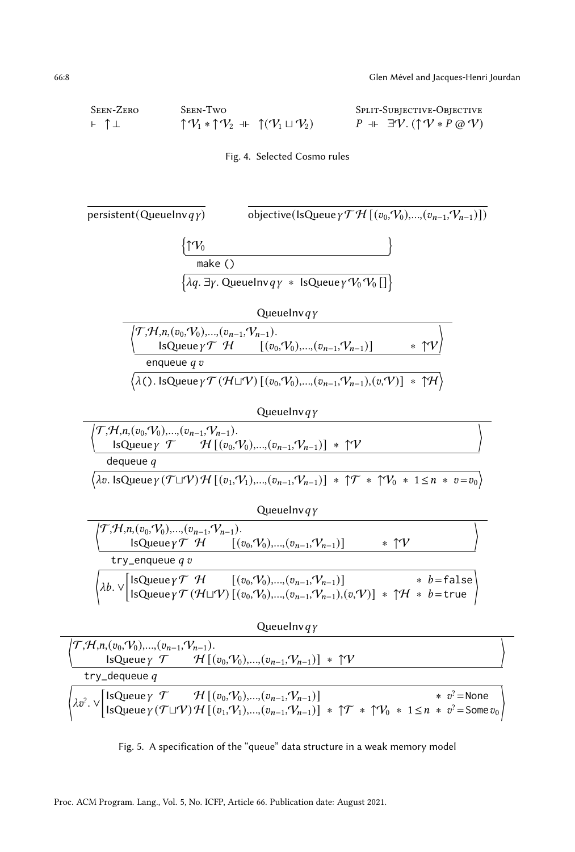<span id="page-7-1"></span><span id="page-7-0"></span>Seen-Zero ⊢ ↑ ⊥ Seen-Two  $\uparrow \mathcal{V}_1 * \uparrow \mathcal{V}_2 + \uparrow (\mathcal{V}_1 \sqcup \mathcal{V}_2)$ Split-Subjective-Objective  $P$  + ∃ $V$ . (↑ $V * P$  @  $V$ )



|  | $\lambda v^2 \cdot \vee \begin{bmatrix} \text{IsQueue } & \mathcal{T} & \mathcal{H} \left[ (v_0, V_0), , (v_{n-1}, V_{n-1}) \right] & * & v^2 = \text{None} \\ \text{IsQueue } & \mathcal{T} \sqcup \mathcal{V} \end{bmatrix} \mathcal{H} \left[ (v_1, V_1), , (v_{n-1}, V_{n-1}) \right] * \uparrow \mathcal{T} * \uparrow V_0 * 1 \le n * v^2 = \text{Some } v_0$ |  |
|--|---------------------------------------------------------------------------------------------------------------------------------------------------------------------------------------------------------------------------------------------------------------------------------------------------------------------------------------------------------------------|--|

Fig. 5. A specification of the "queue" data structure in a weak memory model

Proc. ACM Program. Lang., Vol. 5, No. ICFP, Article 66. Publication date: August 2021.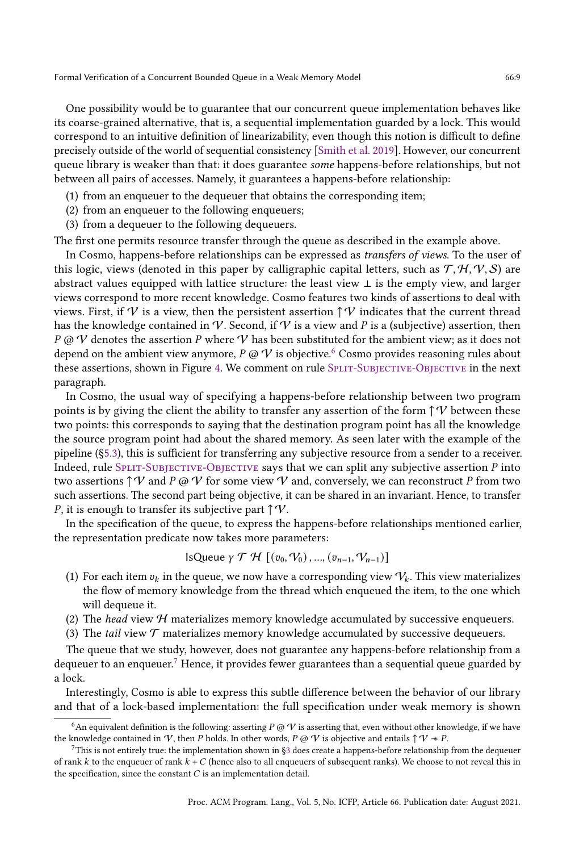One possibility would be to guarantee that our concurrent queue implementation behaves like its coarse-grained alternative, that is, a sequential implementation guarded by a lock. This would correspond to an intuitive definition of linearizability, even though this notion is difficult to define precisely outside of the world of sequential consistency [\[Smith et al.](#page-27-18) [2019\]](#page-27-18). However, our concurrent queue library is weaker than that: it does guarantee some happens-before relationships, but not between all pairs of accesses. Namely, it guarantees a happens-before relationship:

- (1) from an enqueuer to the dequeuer that obtains the corresponding item;
- (2) from an enqueuer to the following enqueuers;
- (3) from a dequeuer to the following dequeuers.

The first one permits resource transfer through the queue as described in the example above.

In Cosmo, happens-before relationships can be expressed as transfers of views. To the user of this logic, views (denoted in this paper by calligraphic capital letters, such as  $\mathcal{T}, \mathcal{H}, \mathcal{V}, \mathcal{S}$ ) are abstract values equipped with lattice structure: the least view  $\perp$  is the empty view, and larger views correspond to more recent knowledge. Cosmo features two kinds of assertions to deal with views. First, if V is a view, then the persistent assertion  $\uparrow \mathcal{V}$  indicates that the current thread has the knowledge contained in V. Second, if V is a view and P is a (subjective) assertion, then P @ V denotes the assertion P where V has been substituted for the ambient view; as it does not depend on the ambient view anymore,  $P \varnothing V$  is objective.<sup>[6](#page-0-0)</sup> Cosmo provides reasoning rules about these assertions, shown in Figure [4.](#page-7-0) We comment on rule SPLIT-SUBJECTIVE-OBJECTIVE in the next paragraph.

In Cosmo, the usual way of specifying a happens-before relationship between two program points is by giving the client the ability to transfer any assertion of the form  $\uparrow \mathcal{V}$  between these two points: this corresponds to saying that the destination program point has all the knowledge the source program point had about the shared memory. As seen later with the example of the pipeline ([ğ5.3\)](#page-24-0), this is sufficient for transferring any subjective resource from a sender to a receiver. Indeed, rule  $SPLIT-SUBJECTVE-OBJECTVE$  says that we can split any subjective assertion  $P$  into two assertions  $\uparrow \Psi$  and  $P \varnothing \Psi$  for some view  $\Psi$  and, conversely, we can reconstruct P from two such assertions. The second part being objective, it can be shared in an invariant. Hence, to transfer P, it is enough to transfer its subjective part  $\uparrow \vee$ .

In the specification of the queue, to express the happens-before relationships mentioned earlier, the representation predicate now takes more parameters:

IsQueue 
$$
\gamma \mathcal{T} \mathcal{H} [(v_0, V_0), ..., (v_{n-1}, V_{n-1})]
$$

- (1) For each item  $v_k$  in the queue, we now have a corresponding view  $V_k$ . This view materializes the flow of memory knowledge from the thread which enqueued the item, to the one which will dequeue it.
- (2) The head view  $H$  materializes memory knowledge accumulated by successive enqueuers.
- (3) The *tail* view  $\mathcal T$  materializes memory knowledge accumulated by successive dequeuers.

The queue that we study, however, does not guarantee any happens-before relationship from a dequeuer to an enqueuer.<sup>[7](#page-0-0)</sup> Hence, it provides fewer guarantees than a sequential queue guarded by a lock.

Interestingly, Cosmo is able to express this subtle difference between the behavior of our library and that of a lock-based implementation: the full specification under weak memory is shown

<sup>&</sup>lt;sup>6</sup>An equivalent definition is the following: asserting  $P @ V$  is asserting that, even without other knowledge, if we have the knowledge contained in V, then P holds. In other words,  $P \varnothing V$  is objective and entails  $\uparrow \vee \neg P$ .

<sup>7</sup>This is not entirely true: the implementation shown in [ğ3](#page-9-0) does create a happens-before relationship from the dequeuer of rank  $k$  to the enqueuer of rank  $k + C$  (hence also to all enqueuers of subsequent ranks). We choose to not reveal this in the specification, since the constant  $C$  is an implementation detail.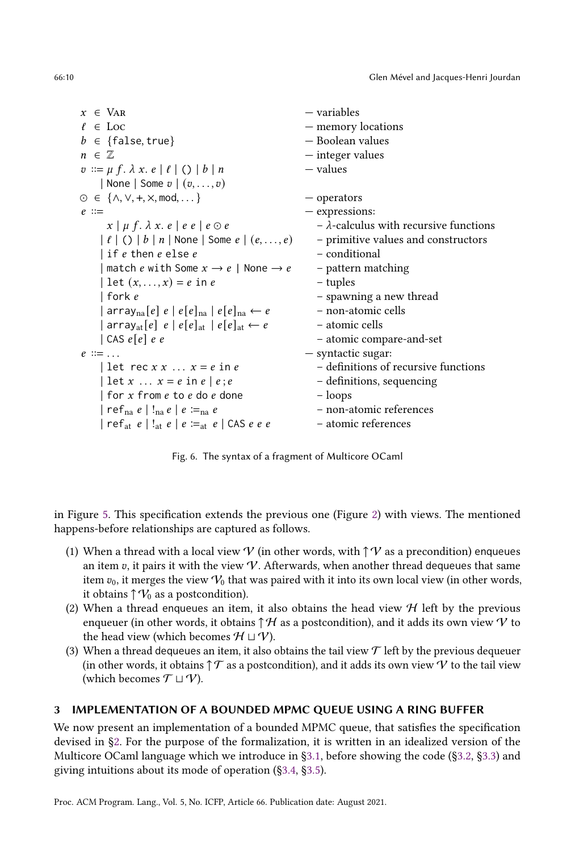$x \in \text{Var}$  – variables  $\ell \in \text{Loc}$  – memory locations  $b \in \{\text{false}, \text{true}\}$  – Boolean values  $n \in \mathbb{Z}$  — integer values  $v ::= \mu f. \lambda x. e \mid \ell \mid () \mid b \mid n$  -values | None | Some  $v$  |  $(v, \ldots, v)$  $\odot \in \{\land, \lor, +, \times, \mod, \dots\}$   $-$  operators  $e ::=$   $-$  expressions:  $x \mid \mu f. \lambda x. e \mid e e \mid e \odot e$  -  $\lambda$ -calculus with recursive functions  $| \ell | \bigcirc | b | n |$  None | Some  $e | (e, \ldots, e)$  - primitive values and constructors | if  $e$  then  $e$  else  $e$   $-$  conditional | match *e* with Some  $x \to e$  | None  $\to e$  - pattern matching | let  $(x, ..., x) = e$  in  $e$  - tuples | fork  $e$   $-$  spawning a new thread  $| \arctan |e| |e| |e|_{\text{na}} |e| |e|_{\text{na}} \leftarrow e$  - non-atomic cells | array<sub>at</sub> $[e]$   $e | e[e]$ <sub>at</sub>  $| e[e]$ <sub>at</sub>  $\leftarrow e$  - atomic cells  $|$  CAS  $e[e]$  e e  $-$  atomic compare-and-set  $e ::= \dots$   $-$  syntactic sugar: | let rec  $x \times x$  ...  $x = e$  in  $e$  - definitions of recursive functions | let  $x \dots x = e$  in  $e \mid e : e$  - definitions, sequencing | for  $x$  from  $e$  to  $e$  do  $e$  done  $-$  loops  $\vert$  ref<sub>na</sub>  $e \vert$ !<sub>na</sub>  $e \vert e :=_{na} e$  - non-atomic references  $\vert$  ref<sub>at</sub>  $e \vert$ !<sub>at</sub>  $e \vert e :=_{at} e \vert$  CAS  $e e e$  - atomic references

Fig. 6. The syntax of a fragment of Multicore OCaml

in Figure [5.](#page-7-0) This specification extends the previous one (Figure [2\)](#page-4-0) with views. The mentioned happens-before relationships are captured as follows.

- (1) When a thread with a local view V (in other words, with  $\uparrow \mathcal{V}$  as a precondition) enqueues an item  $v$ , it pairs it with the view  $V$ . Afterwards, when another thread dequeues that same item  $v_0$ , it merges the view  $V_0$  that was paired with it into its own local view (in other words, it obtains  $\uparrow \mathcal{V}_0$  as a postcondition).
- (2) When a thread enqueues an item, it also obtains the head view  $H$  left by the previous enqueuer (in other words, it obtains  $\uparrow \mathcal{H}$  as a postcondition), and it adds its own view  $\mathcal{V}$  to the head view (which becomes  $H \sqcup V$ ).
- (3) When a thread dequeues an item, it also obtains the tail view  $\mathcal T$  left by the previous dequeuer (in other words, it obtains  $\uparrow \mathcal{T}$  as a postcondition), and it adds its own view V to the tail view (which becomes  $\mathcal{T} \sqcup \mathcal{V}$ ).

# <span id="page-9-0"></span>3 IMPLEMENTATION OF A BOUNDED MPMC QUEUE USING A RING BUFFER

We now present an implementation of a bounded MPMC queue, that satisfies the specification devised in [ğ2.](#page-2-0) For the purpose of the formalization, it is written in an idealized version of the Multicore OCaml language which we introduce in [ğ3.1,](#page-10-0) before showing the code ([ğ3.2,](#page-11-0) [ğ3.3\)](#page-11-1) and giving intuitions about its mode of operation ([ğ3.4,](#page-13-1) [ğ3.5\)](#page-13-2).

<span id="page-9-1"></span>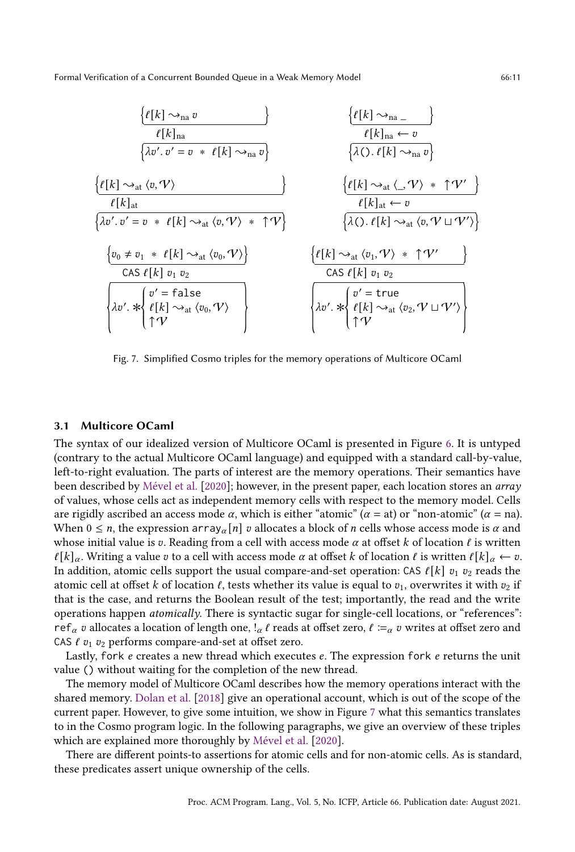<span id="page-10-1"></span>
$$
\frac{\{\ell[k]\sim_{na} v}{\ell[k]_{na}} \qquad \frac{\{\ell[k]\sim_{na} v}{\lambda v'. v' = v * \ell[k]\sim_{na} v\}} \qquad \frac{\{\ell[k]\sim_{na} v}{\lambda(0.\ell[k]\sim_{na} v)} \qquad \frac{\{\ell[k]\sim_{at} v, v'\}}{\lambda(0.\ell[k]\sim_{na} v)} \qquad \frac{\{\ell[k]\sim_{at} v, v'\}}{\lambda(0.\ell[k]\sim_{at} v, v')}\}
$$
\n
$$
\frac{\{\ell[k]\sim_{at} v, v'\}}{\lambda v'. v' = v * \ell[k]\sim_{at} \langle v, v'\rangle * \uparrow v' \} \qquad \frac{\{\ell[k]\sim_{at} v, v'\}}{\lambda(0.\ell[k]\sim_{at} v, v' \cup v')\}} \qquad \frac{\{\ell[k]\sim_{at} v, v'\}}{\lambda(0.\ell[k]\sim_{at} v, v' \cup v')}\}
$$
\n
$$
\frac{\{\ell[k]\sim_{at} v, v'\}}{\lambda v'. * \{\ell[k] v_1 v_2}\} \qquad \frac{\{\ell[k]\sim_{at} v, v'\}}{\lambda v'. * \{\ell[k]\sim_{at} v, v'\} \wedge v' \wedge \frac{\{\ell[k]\sim_{at} v, v'\}}{\lambda v'. * \{\ell[k]\sim_{at} v, v'\}} \qquad \frac{\{\ell[k]\sim_{at} v, v'\}}{\lambda v'. * \{\ell[k]\sim_{at} v, v'\}} \qquad \frac{\{\ell[k]\sim_{at} v, v'\}}{\lambda v'. * \{\ell[k]\sim_{at} v, v'\}} \qquad \frac{\{\ell[k]\sim_{at} v, v'\}}{\lambda v'. * \{\ell[k]\sim_{at} v, v'\}} \qquad \frac{\{\ell[k]\sim_{at} v, v'\}}{\lambda v'. * \{\ell[k]\sim_{at} v, v'\}} \qquad \frac{\{\ell[k]\sim_{at} v, v'\}}{\lambda v'. * \{\ell[k]\sim_{at} v, v'\}} \qquad \frac{\{\ell[k]\sim_{at} v, v'\}}{\lambda v'. * \{\ell[k]\sim_{at} v, v'\}} \qquad \frac{\{\ell[k]\sim_{at} v, v'\}}{\lambda v'. * \{\ell[k]\sim_{at} v, v'\}} \qquad \frac{\{\ell[k]\sim_{at} v, v'\}}{\lambda v'. * \{\ell[k]\sim_{at} v, v'\}} \qquad \frac{\{\ell[k]\sim_{at} v, v'\}}{\lambda v'. * \{\ell[k]\sim_{at} v, v'\}} \
$$

Fig. 7. Simplified Cosmo triples for the memory operations of Multicore OCaml

#### <span id="page-10-0"></span>3.1 Multicore OCaml

The syntax of our idealized version of Multicore OCaml is presented in Figure [6.](#page-9-1) It is untyped (contrary to the actual Multicore OCaml language) and equipped with a standard call-by-value, left-to-right evaluation. The parts of interest are the memory operations. Their semantics have been described by [Mével et al.](#page-27-8) [\[2020\]](#page-27-8); however, in the present paper, each location stores an array of values, whose cells act as independent memory cells with respect to the memory model. Cells are rigidly ascribed an access mode  $\alpha$ , which is either "atomic" ( $\alpha =$  at) or "non-atomic" ( $\alpha =$  na). When  $0 \le n$ , the expression array  $\alpha[n]$  v allocates a block of *n* cells whose access mode is  $\alpha$  and whose initial value is v. Reading from a cell with access mode  $\alpha$  at offset k of location  $\ell$  is written  $\ell[k]_{\alpha}$ . Writing a value  $v$  to a cell with access mode  $\alpha$  at offset k of location  $\ell$  is written  $\ell[k]_{\alpha} \leftarrow v$ . In addition, atomic cells support the usual compare-and-set operation: CAS  $\ell[k]$   $v_1$   $v_2$  reads the atomic cell at offset k of location  $\ell$ , tests whether its value is equal to  $v_1$ , overwrites it with  $v_2$  if that is the case, and returns the Boolean result of the test; importantly, the read and the write operations happen *atomically*. There is syntactic sugar for single-cell locations, or "references": ref<sub>a</sub> v allocates a location of length one, !<sub>a</sub> l reads at offset zero,  $l := \alpha$  v writes at offset zero and CAS  $\ell$   $v_1$   $v_2$  performs compare-and-set at offset zero.

Lastly, fork  $e$  creates a new thread which executes  $e$ . The expression fork  $e$  returns the unit value () without waiting for the completion of the new thread.

The memory model of Multicore OCaml describes how the memory operations interact with the shared memory. [Dolan et al.](#page-26-2) [\[2018\]](#page-26-2) give an operational account, which is out of the scope of the current paper. However, to give some intuition, we show in Figure [7](#page-10-1) what this semantics translates to in the Cosmo program logic. In the following paragraphs, we give an overview of these triples which are explained more thoroughly by [Mével et al.](#page-27-8) [\[2020\]](#page-27-8).

There are different points-to assertions for atomic cells and for non-atomic cells. As is standard, these predicates assert unique ownership of the cells.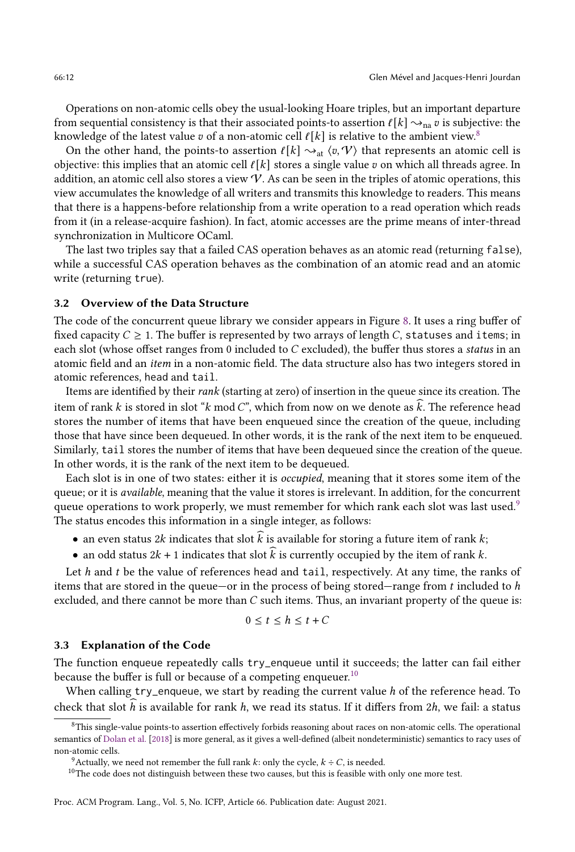Operations on non-atomic cells obey the usual-looking Hoare triples, but an important departure from sequential consistency is that their associated points-to assertion  $\ell[k] \leadsto_{\text{na}} v$  is subjective: the knowledge of the latest value v of a non-atomic cell  $\ell[k]$  is relative to the ambient view.<sup>[8](#page-0-0)</sup>

On the other hand, the points-to assertion  $\ell[k] \rightsquigarrow_{\text{at}} \langle v, \mathcal{V} \rangle$  that represents an atomic cell is objective: this implies that an atomic cell  $\ell[k]$  stores a single value  $v$  on which all threads agree. In addition, an atomic cell also stores a view  $V$ . As can be seen in the triples of atomic operations, this view accumulates the knowledge of all writers and transmits this knowledge to readers. This means that there is a happens-before relationship from a write operation to a read operation which reads from it (in a release-acquire fashion). In fact, atomic accesses are the prime means of inter-thread synchronization in Multicore OCaml.

The last two triples say that a failed CAS operation behaves as an atomic read (returning false), while a successful CAS operation behaves as the combination of an atomic read and an atomic write (returning true).

## <span id="page-11-0"></span>3.2 Overview of the Data Structure

The code of the concurrent queue library we consider appears in Figure [8.](#page-12-0) It uses a ring buffer of fixed capacity  $C \geq 1$ . The buffer is represented by two arrays of length C, statuses and items; in each slot (whose offset ranges from 0 included to  $C$  excluded), the buffer thus stores a *status* in an atomic field and an item in a non-atomic field. The data structure also has two integers stored in atomic references, head and tail.

Items are identified by their rank (starting at zero) of insertion in the queue since its creation. The item of rank k is stored in slot "k mod C", which from now on we denote as  $\hat{k}$ . The reference head stores the number of items that have been enqueued since the creation of the queue, including those that have since been dequeued. In other words, it is the rank of the next item to be enqueued. Similarly, tail stores the number of items that have been dequeued since the creation of the queue. In other words, it is the rank of the next item to be dequeued.

Each slot is in one of two states: either it is occupied, meaning that it stores some item of the queue; or it is *available*, meaning that the value it stores is irrelevant. In addition, for the concurrent queue operations to work properly, we must remember for which rank each slot was last used.<sup>[9](#page-0-0)</sup> The status encodes this information in a single integer, as follows:

- an even status 2k indicates that slot  $\overline{k}$  is available for storing a future item of rank  $k$ ;
- an odd status  $2k + 1$  indicates that slot  $k$  is currently occupied by the item of rank  $k$ .

Let  $h$  and  $t$  be the value of references head and tail, respectively. At any time, the ranks of items that are stored in the queue–or in the process of being stored–range from  $t$  included to  $h$ excluded, and there cannot be more than  $C$  such items. Thus, an invariant property of the queue is:

$$
0 \le t \le h \le t + C
$$

## <span id="page-11-1"></span>3.3 Explanation of the Code

The function enqueue repeatedly calls try\_enqueue until it succeeds; the latter can fail either because the buffer is full or because of a competing enqueuer.<sup>[10](#page-0-0)</sup>

When calling  $try\_enqueue$ , we start by reading the current value  $h$  of the reference head. To check that slot h is available for rank h, we read its status. If it differs from 2h, we fail: a status

 $8$ This single-value points-to assertion effectively forbids reasoning about races on non-atomic cells. The operational semantics of [Dolan et al.](#page-26-2) [\[2018\]](#page-26-2) is more general, as it gives a well-defined (albeit nondeterministic) semantics to racy uses of non-atomic cells.

<sup>&</sup>lt;sup>9</sup>Actually, we need not remember the full rank k: only the cycle,  $k \div C$ , is needed.

 $10$ The code does not distinguish between these two causes, but this is feasible with only one more test.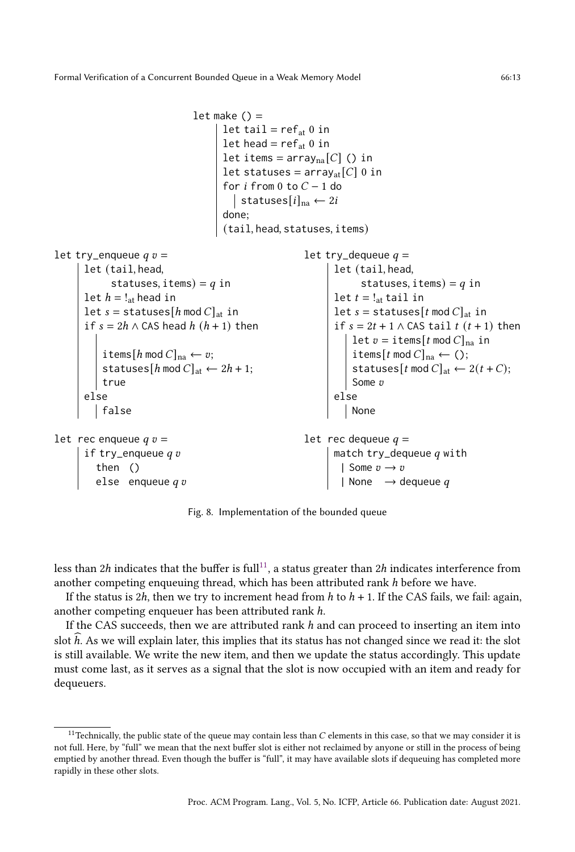```
let make () =let tail = ref_{at} 0 in
                                        let head = ref_{at} 0 in
                                        let items = array<sub>na</sub>[C] () in
                                        let statuses = array_{\text{at}}[C] 0 in
                                        for i from 0 to C - 1 do
                                          statuses[i]_{na} \leftarrow 2idone;
                                        (tail, head, statuses, items)
let try_enqueue q v =let (tail, head,
             statuses, items) = q in
      let h = !_{at} head in
      let s = statuses[h \mod C]<sub>at</sub> in
      if s = 2h \wedge CAS head h(h + 1) then
           items[h \mod C]<sub>na</sub> \leftarrow v;
           statuses[h \mod C]_{\rm at} \leftarrow 2h + 1;true
       else
         false
let rec enqueue q v =if try_enqueue q vthen ()
          else enqueueq \emph{v}let try_dequeue q =let (tail, head,
                                                                       statuses, items) = q in
                                                                  let t = !_{\rm at} tail in
                                                                  let s = statuses [t \mod C]_{at} in
                                                                  if s = 2t + 1 \wedge CAS tail t (t + 1) then
                                                                     let v = items[t mod C]<sub>na</sub> in
                                                                       items[t \mod C]<sub>na</sub> \leftarrow ();
                                                                       statuses[t \mod C]_{\text{at}} \leftarrow 2(t+C);Some v
                                                                  else
                                                                     None
                                                           let rec dequeue q =match try_dequeue q with
                                                                    | Some v \rightarrow v| None \rightarrow dequeue q
```
Fig. 8. Implementation of the bounded queue

less than  $2h$  indicates that the buffer is full<sup>[11](#page-0-0)</sup>, a status greater than  $2h$  indicates interference from another competing enqueuing thread, which has been attributed rank  $h$  before we have.

If the status is 2h, then we try to increment head from  $h$  to  $h + 1$ . If the CAS fails, we fail: again, another competing enqueuer has been attributed rank ℎ.

If the CAS succeeds, then we are attributed rank h and can proceed to inserting an item into slot h. As we will explain later, this implies that its status has not changed since we read it: the slot is still available. We write the new item, and then we update the status accordingly. This update must come last, as it serves as a signal that the slot is now occupied with an item and ready for dequeuers.

<sup>&</sup>lt;sup>11</sup>Technically, the public state of the queue may contain less than  $C$  elements in this case, so that we may consider it is not full. Here, by "full" we mean that the next buffer slot is either not reclaimed by anyone or still in the process of being emptied by another thread. Even though the buffer is "full", it may have available slots if dequeuing has completed more rapidly in these other slots.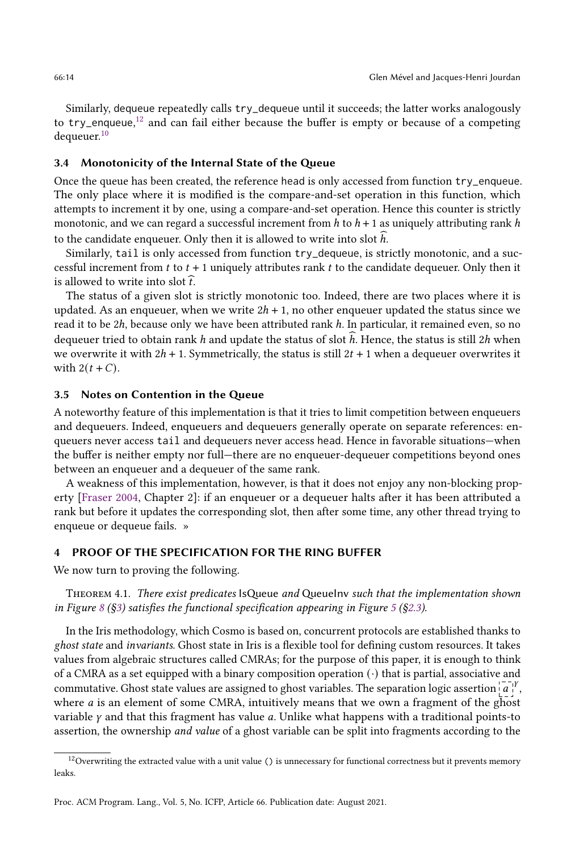Similarly, dequeue repeatedly calls try\_dequeue until it succeeds; the latter works analogously to try\_enqueue,<sup>[12](#page-0-0)</sup> and can fail either because the buffer is empty or because of a competing dequeuer.<sup>[10](#page-0-0)</sup>

## <span id="page-13-1"></span>3.4 Monotonicity of the Internal State of the Queue

Once the queue has been created, the reference head is only accessed from function try\_enqueue. The only place where it is modified is the compare-and-set operation in this function, which attempts to increment it by one, using a compare-and-set operation. Hence this counter is strictly monotonic, and we can regard a successful increment from  $h$  to  $h + 1$  as uniquely attributing rank  $h$ to the candidate enqueuer. Only then it is allowed to write into slot  $h$ .

Similarly, tail is only accessed from function try\_dequeue, is strictly monotonic, and a successful increment from  $t$  to  $t + 1$  uniquely attributes rank  $t$  to the candidate dequeuer. Only then it is allowed to write into slot  $\hat{t}$ .

The status of a given slot is strictly monotonic too. Indeed, there are two places where it is updated. As an enqueuer, when we write  $2h + 1$ , no other enqueuer updated the status since we read it to be 2ℎ, because only we have been attributed rank ℎ. In particular, it remained even, so no dequeuer tried to obtain rank h and update the status of slot  $\hat{h}$ . Hence, the status is still 2h when we overwrite it with  $2h + 1$ . Symmetrically, the status is still  $2t + 1$  when a dequeuer overwrites it with  $2(t + C)$ .

#### <span id="page-13-2"></span>3.5 Notes on Contention in the Queue

A noteworthy feature of this implementation is that it tries to limit competition between enqueuers and dequeuers. Indeed, enqueuers and dequeuers generally operate on separate references: enqueuers never access tail and dequeuers never access head. Hence in favorable situations-when the buffer is neither empty nor full—there are no enqueuer-dequeuer competitions beyond ones between an enqueuer and a dequeuer of the same rank.

A weakness of this implementation, however, is that it does not enjoy any non-blocking property [\[Fraser 2004,](#page-26-11) Chapter 2]: if an enqueuer or a dequeuer halts after it has been attributed a rank but before it updates the corresponding slot, then after some time, any other thread trying to enqueue or dequeue fails. »

# <span id="page-13-0"></span>4 PROOF OF THE SPECIFICATION FOR THE RING BUFFER

We now turn to proving the following.

THEOREM 4.1. There exist predicates IsQueue and QueueInv such that the implementation shown in Figure [8](#page-12-0) ( $\S$ 3) satisfies the functional specification appearing in Figure [5](#page-7-0) ( $\S$ 2.3).

In the Iris methodology, which Cosmo is based on, concurrent protocols are established thanks to ghost state and invariants. Ghost state in Iris is a flexible tool for defining custom resources. It takes values from algebraic structures called CMRAs; for the purpose of this paper, it is enough to think of a CMRA as a set equipped with a binary composition operation  $(\cdot)$  that is partial, associative and commutative. Ghost state values are assigned to ghost variables. The separation logic assertion  $\left[a^{\top} \right]$ where  $a$  is an element of some CMRA, intuitively means that we own a fragment of the ghost variable  $\gamma$  and that this fragment has value  $a$ . Unlike what happens with a traditional points-to assertion, the ownership and value of a ghost variable can be split into fragments according to the

 $12$  Overwriting the extracted value with a unit value () is unnecessary for functional correctness but it prevents memory leaks.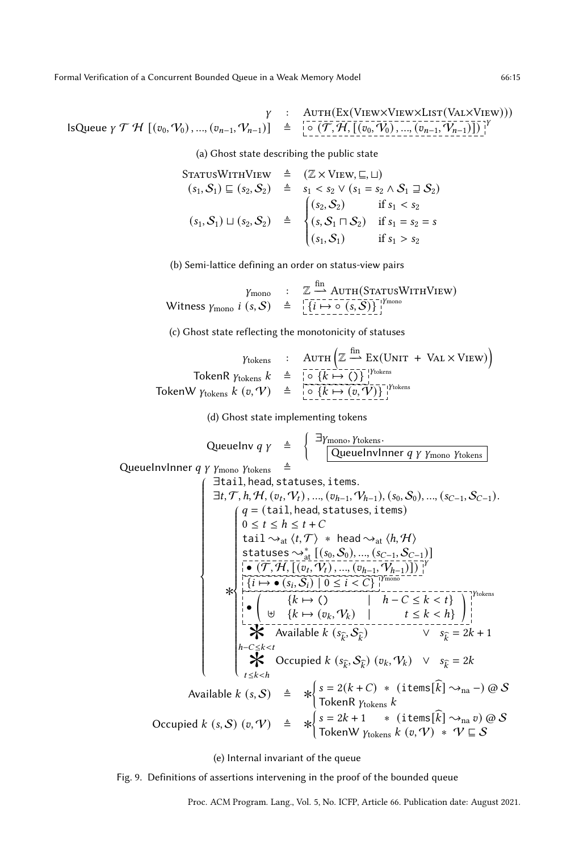<span id="page-14-0"></span>
$$
\gamma : \quad \text{AUTH}\left(\text{Ex}(\text{View}\times \text{UisW}\times \text{List}(\text{VAL}\times \text{View})))\right)
$$
\n
$$
\text{IsQueue } \gamma \mathcal{T} \mathcal{H} \left[ (v_0, \mathcal{V}_0), ..., (v_{n-1}, \mathcal{V}_{n-1}) \right] \triangleq \left[ \circ \left( \overline{\mathcal{T}}, \overline{\mathcal{H}}, \left[ (v_0, \mathcal{V}_0), ..., (v_{n-1}, \mathcal{V}_{n-1}) \right] \right) \right]^{\gamma}
$$

(a) Ghost state describing the public state

$$
S_{TATUSWITHVIEW} \triangleq (\mathbb{Z} \times VIEW, \sqsubseteq, \sqcup)
$$
  
\n
$$
(s_1, S_1) \sqsubseteq (s_2, S_2) \triangleq s_1 < s_2 \vee (s_1 = s_2 \wedge S_1 \sqsupseteq S_2)
$$
  
\n
$$
(s_1, S_1) \sqcup (s_2, S_2) \triangleq \begin{cases} (s_2, S_2) & \text{if } s_1 < s_2 \\ (s, S_1 \sqcap S_2) & \text{if } s_1 = s_2 = s \\ (s_1, S_1) & \text{if } s_1 > s_2 \end{cases}
$$

(b) Semi-lattice defining an order on status-view pairs

$$
\gamma_{\text{mono}} \quad : \quad \mathbb{Z} \xrightarrow{\text{fin}} \text{AUTH}(\text{STATUSWITHVIEW})
$$
\n
$$
\text{Witness } \gamma_{\text{mono}} \quad i \ (s, \mathcal{S}) \quad \triangleq \quad \left[ \overbrace{\{i \mapsto \circ (s, \mathcal{S})\}}^{\text{fin}} \right]^{ \gamma_{\text{mono}}}_{!}
$$

(c) Ghost state reflecting the monotonicity of statuses

$$
\begin{array}{rcl}\n\text{Ytokens} & : & \text{AUTH} \left( \mathbb{Z} \xrightarrow{\text{fin}} \text{Ex}(\text{UNIT} + \text{VAL} \times \text{View}) \right) \\
\text{TokenR } \text{Ytokens} \, k & \triangleq & \bigcirc \{ k \mapsto \text{()} \}^{\text{Ytokens}}_{\text{I}} \\
\text{TokenW } \text{Ytokens} \, k \, (v, V) & \triangleq & \bigcirc \{ k \mapsto \text{?}(v, V) \}^{\text{Ytokens}} \\
\end{array}
$$

(d) Ghost state implementing tokens

 $\lambda$ 

QueueInv1nner *q γ* 
$$
\hat{p}
$$
  $\hat{p}$ 

\nQueueInv1nner *q γ*  $\gamma$   $\gamma$   $\gamma$   $\gamma$   $\gamma$   $\gamma$   $\gamma$   $\gamma$   $\gamma$   $\gamma$   $\gamma$   $\gamma$   $\gamma$   $\gamma$   $\gamma$   $\gamma$   $\gamma$   $\gamma$   $\gamma$   $\gamma$   $\gamma$   $\gamma$   $\gamma$   $\gamma$   $\gamma$   $\gamma$   $\gamma$   $\gamma$   $\gamma$   $\gamma$   $\gamma$   $\gamma$   $\gamma$   $\gamma$   $\gamma$   $\gamma$   $\gamma$   $\gamma$   $\gamma$   $\gamma$   $\gamma$   $\gamma$   $\gamma$   $\gamma$   $\gamma$   $\gamma$   $\gamma$   $\gamma$   $\gamma$   $\gamma$   $\gamma$   $\gamma$   $\gamma$   $\gamma$   $\gamma$   $\gamma$   $\gamma$   $\gamma$   $\gamma$   $\gamma$   $\gamma$   $\gamma$   $\gamma$   $\gamma$   $\gamma$   $\gamma$   $\gamma$   $\gamma$   $\gamma$   $\gamma$   $\gamma$   $\gamma$   $\gamma$   $\gamma$   $\gamma$   $\gamma$   $\gamma$   $\gamma$   $\gamma$   $\gamma$   $\gamma$   $\gamma$   $\gamma$   $\gamma$   $\gamma$   $\gamma$   $\gamma$   $\gamma$   $\gamma$   $\gamma$   $\gamma$   $\gamma$   $\gamma$   $\gamma$   $\gamma$   $\gamma$   $\gamma$   $\gamma$   $\gamma$   $\gamma$   $\gamma$   $\$ 

(e) Internal invariant of the queue

Fig. 9. Definitions of assertions intervening in the proof of the bounded queue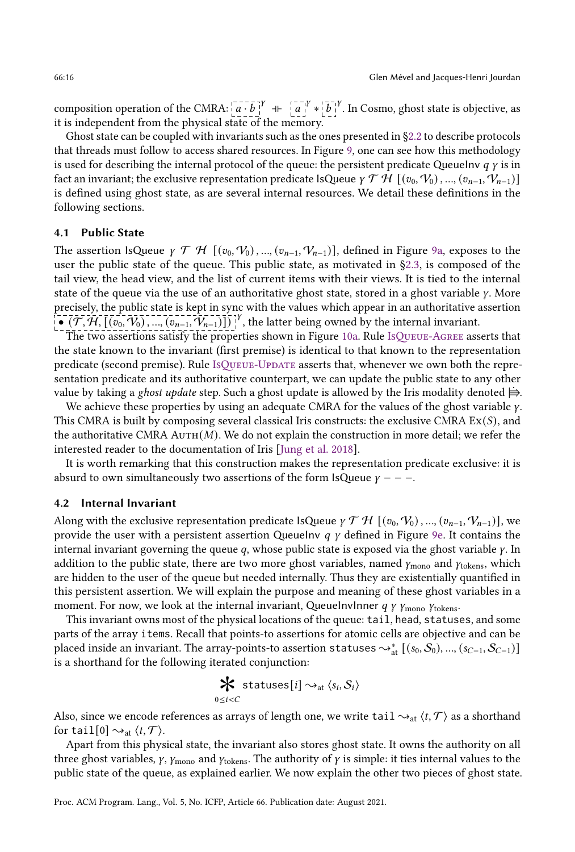composition operation of the CMRA:  $\left[a \cdot \overline{b}\right]^{Y}$  +  $\left[a^{-1}\right]^{Y} * \left[\overline{b}\right]^{Y}$ . In Cosmo, ghost state is objective, as it is independent from the physical state of the memory.

Ghost state can be coupled with invariants such as the ones presented in [ğ2.2](#page-3-1) to describe protocols that threads must follow to access shared resources. In Figure [9,](#page-14-0) one can see how this methodology is used for describing the internal protocol of the queue: the persistent predicate QueueInv  $q \gamma$  is in fact an invariant; the exclusive representation predicate IsQueue  $\gamma \mathcal{T} \mathcal{H}$   $[(v_0, \mathcal{V}_0), ..., (v_{n-1}, \mathcal{V}_{n-1})]$ is defined using ghost state, as are several internal resources. We detail these definitions in the following sections.

# 4.1 Public State

The assertion IsQueue  $\gamma \mathcal{T} \mathcal{H}$   $[(v_0, V_0), ..., (v_{n-1}, V_{n-1})]$ , defined in Figure [9a,](#page-14-0) exposes to the user the public state of the queue. This public state, as motivated in [ğ2.3,](#page-6-0) is composed of the tail view, the head view, and the list of current items with their views. It is tied to the internal state of the queue via the use of an authoritative ghost state, stored in a ghost variable  $\gamma$ . More precisely, the public state is kept in sync with the values which appear in an authoritative assertion  $\bullet$  ( $\mathcal{T}, \mathcal{H}, [(\tilde{v_0}, V_0), ..., (\tilde{v_{n-1}}, V_{n-1})]$ )<sup>1</sup>, the latter being owned by the internal invariant.

The two assertions satisfy the properties shown in Figure [10a.](#page-16-0) Rule [IsQueue-A](#page-16-1)gree asserts that the state known to the invariant (first premise) is identical to that known to the representation predicate (second premise). Rule [IsQueue-Update](#page-16-2) asserts that, whenever we own both the representation predicate and its authoritative counterpart, we can update the public state to any other value by taking a *ghost update* step. Such a ghost update is allowed by the Iris modality denoted  $\Rightarrow$ .

We achieve these properties by using an adequate CMRA for the values of the ghost variable  $\gamma$ . This CMRA is built by composing several classical Iris constructs: the exclusive CMRA  $Ex(S)$ , and the authoritative CMRA  $AUTH(M)$ . We do not explain the construction in more detail; we refer the interested reader to the documentation of Iris [\[Jung et al. 2018\]](#page-27-6).

It is worth remarking that this construction makes the representation predicate exclusive: it is absurd to own simultaneously two assertions of the form IsQueue  $\gamma$  – – –.

## 4.2 Internal Invariant

Along with the exclusive representation predicate IsQueue  $\gamma \mathcal{T} \mathcal{H}$  [( $v_0, V_0$ ), ...,  $(v_{n-1}, V_{n-1})$ ], we provide the user with a persistent assertion QueueInv  $q \gamma$  defined in Figure [9e.](#page-14-0) It contains the internal invariant governing the queue  $q$ , whose public state is exposed via the ghost variable  $\gamma$ . In addition to the public state, there are two more ghost variables, named  $\gamma_{\text{mono}}$  and  $\gamma_{\text{tokens}}$ , which are hidden to the user of the queue but needed internally. Thus they are existentially quantified in this persistent assertion. We will explain the purpose and meaning of these ghost variables in a moment. For now, we look at the internal invariant, QueueInvInner  $q \gamma \gamma_{\text{mono}} \gamma_{\text{tokens}}$ .

This invariant owns most of the physical locations of the queue: tail, head, statuses, and some parts of the array items. Recall that points-to assertions for atomic cells are objective and can be placed inside an invariant. The array-points-to assertion statuses  $\leadsto^*_{\rm at} [(s_0,\mathcal{S}_0),..., (s_{C-1},\mathcal{S}_{C-1})]$ is a shorthand for the following iterated conjunction:

$$
\mathbf{\mathcal{K}} \text{ statuses}[i] \rightarrow_{\text{at}} \langle s_i, \mathcal{S}_i \rangle
$$
  
 
$$
\mathbf{\mathcal{K}} \text{ statuses}[i] \rightarrow_{\text{at}} \langle s_i, \mathcal{S}_i \rangle
$$

Also, since we encode references as arrays of length one, we write tail  $\sim_{at} \langle t, \mathcal{T} \rangle$  as a shorthand for tail[0]  $\rightsquigarrow_{\text{at}} \langle t, \mathcal{T} \rangle$ .

Apart from this physical state, the invariant also stores ghost state. It owns the authority on all three ghost variables,  $\gamma$ ,  $\gamma$ <sub>mono</sub> and  $\gamma$ <sub>tokens</sub>. The authority of  $\gamma$  is simple: it ties internal values to the public state of the queue, as explained earlier. We now explain the other two pieces of ghost state.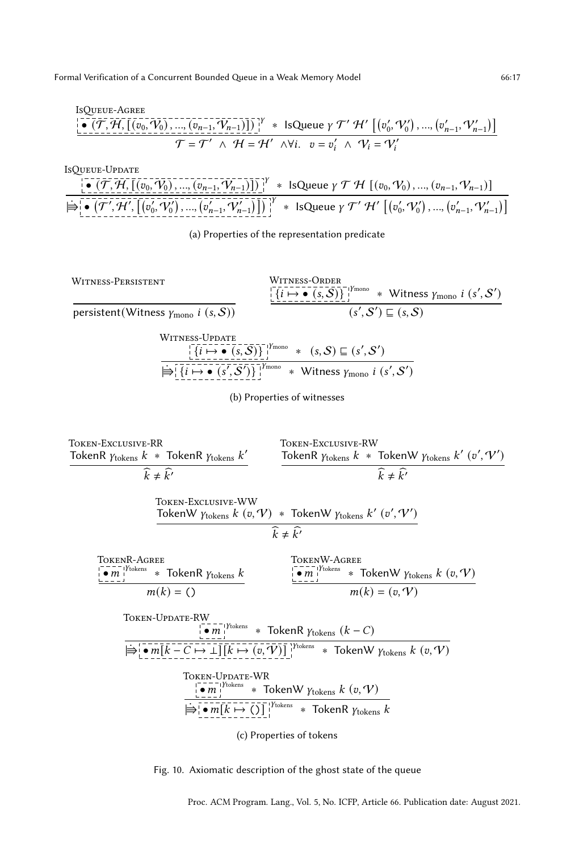<span id="page-16-1"></span><span id="page-16-0"></span>ISQUEUE-AGREE\n
$$
\frac{\left[\begin{array}{c}\n\bullet \text{ (} \mathcal{T}, \mathcal{H}, \left[\left(v_0, V_0\right), \ldots, \left(v_{n-1}, V_{n-1}\right)\right]\right)\right]^{\gamma}}{\sigma = \mathcal{T}' \land \mathcal{H} = \mathcal{H}' \land \forall i. \quad v = v'_i \land \mathcal{V}_i = V'_i\n\end{array}\n\left[\begin{array}{c}\n(v'_0, V'_0), \ldots, (v'_{n-1}, V'_{n-1})\right]\n\end{array}\right]
$$

<span id="page-16-2"></span>

<span id="page-16-4"></span>(a) Properties of the representation predicate

<span id="page-16-5"></span><span id="page-16-3"></span>Witness-Persistent persistent(Witness  $\gamma_{\text{mono}}$  *i*  $(s, S)$ ) Witness-Order  $\{i \mapsto \bullet \ (s, S)\}\$ '<sup>1Ymono</sup> \* Witness  $\gamma_{\text{mono}}$  i  $(s', S')$  $(s', \mathcal{S}') \sqsubseteq (s, \mathcal{S})$ Witness-Update  $\{i \mapsto \bullet \ (s, \mathcal{S})\}\$ <sup>1</sup>*Ymono* \*  $(s, \mathcal{S}) \sqsubseteq (s', \mathcal{S}')$  $\Rightarrow$  { $\overline{i}$  +  $\rightarrow$   $\overline{(s', S')}$ } $\overline{\phantom{i}}$  \* Witness  $\gamma$ <sub>mono</sub>  $i$   $(s', S')$ (b) Properties of witnesses

Token-Exclusive-RR TokenR  $\gamma_{\rm tokens}$   $k$   $\ast$  TokenR  $\gamma_{\rm tokens}$   $k'$  $\widehat{k} \neq \widehat{k'}$ Token-Exclusive-RW TokenR  $\gamma_{\text{tokens}} k$   $*$  TokenW  $\gamma_{\text{tokens}} k'$   $(v', \mathcal{V}')$  $\widehat{k} \neq \widehat{k'}$ Token-Exclusive-WW TokenW  $\gamma_{\text{tokens}} k\left(v, \mathcal{V}\right) * \text{TokenW } \gamma_{\text{tokens}} k'\left(v', \mathcal{V}'\right)$  $\widehat{k} \neq \widehat{k'}$ TokenR-Agree  $\bullet$   $m$ <sup>1</sup>/<sup>tokens</sup> \* TokenR  $\gamma$ <sub>tokens</sub>  $k$  $m(k) = ()$ TokenW-Agree  $\bullet m$ <sup>{Ytokens}</sup> \* TokenW  $\gamma$ <sub>tokens</sub>  $k$  (v, V)}  $m(k) = (v, V)$ Token-Update-RW  $\bullet m$ <sup>{Ytokens}</sup> \* TokenR  $\gamma$ <sub>tokens</sub>  $(k - C)$  $\Rightarrow \boxed{\bullet m[k-C \mapsto \bot][k \mapsto (v,\overline{V})]}^{\text{Ytokens}}$  \* TokenW  $\gamma_{\text{tokens}} k(v, V)$ Token-Update-WR  $\bullet m$ <sup>{Ytokens}</sup> \* TokenW  $\gamma$ <sub>tokens</sub>  $k(x, V)$  $\Rightarrow \neg n[k \mapsto ()]$ <sup>'Ytokens</sup> \* TokenR  $\gamma_{\text{tokens}}$  k (c) Properties of tokens

<span id="page-16-7"></span><span id="page-16-6"></span>Fig. 10. Axiomatic description of the ghost state of the queue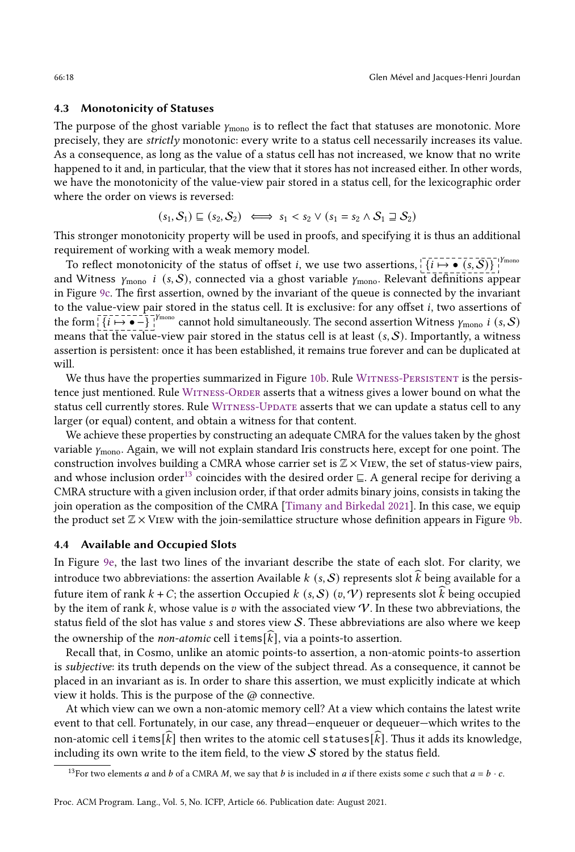## 4.3 Monotonicity of Statuses

The purpose of the ghost variable  $\gamma_{\text{mono}}$  is to reflect the fact that statuses are monotonic. More precisely, they are strictly monotonic: every write to a status cell necessarily increases its value. As a consequence, as long as the value of a status cell has not increased, we know that no write happened to it and, in particular, that the view that it stores has not increased either. In other words, we have the monotonicity of the value-view pair stored in a status cell, for the lexicographic order where the order on views is reversed:

$$
(s_1, S_1) \sqsubseteq (s_2, S_2) \iff s_1 < s_2 \lor (s_1 = s_2 \land S_1 \sqsupseteq S_2)
$$

This stronger monotonicity property will be used in proofs, and specifying it is thus an additional requirement of working with a weak memory model.

To reflect monotonicity of the status of offset *i*, we use two assertions,  $\left\{i \mapsto \bullet \ (s, S)\right\}$ and Witness  $\gamma_{\text{mono}}$  i (s, S), connected via a ghost variable  $\gamma_{\text{mono}}$ . Relevant definitions appear in Figure [9c.](#page-14-0) The first assertion, owned by the invariant of the queue is connected by the invariant to the value-view pair stored in the status cell. It is exclusive: for any offset *i*, two assertions of the form  $\frac{1}{i}$   $\{i \mapsto \bullet\}$   $\frac{1}{i}$   $\{i \mapsto \bullet\}$  cannot hold simultaneously. The second assertion Witness  $\gamma_{\text{mono}}$  i  $(s, S)$ means that the value-view pair stored in the status cell is at least  $(s, S)$ . Importantly, a witness assertion is persistent: once it has been established, it remains true forever and can be duplicated at will.

We thus have the properties summarized in Figure [10b.](#page-16-0) Rule WITNESS-PERSISTENT is the persistence just mentioned. Rule [Witness-Order](#page-16-4) asserts that a witness gives a lower bound on what the status cell currently stores. Rule WITNESS-UPDATE asserts that we can update a status cell to any larger (or equal) content, and obtain a witness for that content.

We achieve these properties by constructing an adequate CMRA for the values taken by the ghost variable  $\gamma_{\rm mono}$ . Again, we will not explain standard Iris constructs here, except for one point. The construction involves building a CMRA whose carrier set is  $\mathbb{Z} \times V$ IEW, the set of status-view pairs, and whose inclusion order<sup>[13](#page-0-0)</sup> coincides with the desired order  $\subseteq$ . A general recipe for deriving a CMRA structure with a given inclusion order, if that order admits binary joins, consists in taking the join operation as the composition of the CMRA [\[Timany and Birkedal 2021\]](#page-28-5). In this case, we equip the product set  $\mathbb{Z} \times$  VIEW with the join-semilattice structure whose definition appears in Figure [9b.](#page-14-0)

## 4.4 Available and Occupied Slots

In Figure [9e,](#page-14-0) the last two lines of the invariant describe the state of each slot. For clarity, we introduce two abbreviations: the assertion Available k  $(s, S)$  represents slot  $\widehat{k}$  being available for a future item of rank  $k + C$ ; the assertion Occupied  $k(s, S)$  ( $v, V$ ) represents slot k being occupied by the item of rank  $k$ , whose value is  $v$  with the associated view  $V$ . In these two abbreviations, the status field of the slot has value  $s$  and stores view  $S$ . These abbreviations are also where we keep the ownership of the *non-atomic* cell items[ $\widehat{k}$ ], via a points-to assertion.

Recall that, in Cosmo, unlike an atomic points-to assertion, a non-atomic points-to assertion is subjective: its truth depends on the view of the subject thread. As a consequence, it cannot be placed in an invariant as is. In order to share this assertion, we must explicitly indicate at which view it holds. This is the purpose of the @ connective.

At which view can we own a non-atomic memory cell? At a view which contains the latest write event to that cell. Fortunately, in our case, any thread–enqueuer or dequeuer–which writes to the non-atomic cell items[k] then writes to the atomic cell statuses[k]. Thus it adds its knowledge, including its own write to the item field, to the view  $S$  stored by the status field.

<sup>&</sup>lt;sup>13</sup>For two elements a and b of a CMRA M, we say that b is included in a if there exists some c such that  $a = b \cdot c$ .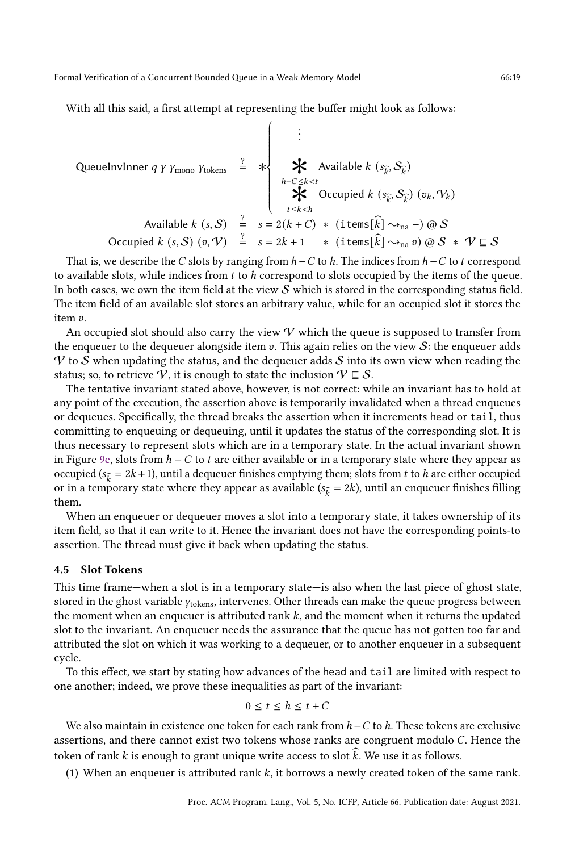With all this said, a first attempt at representing the buffer might look as follows:

 $\sqrt{ }$ 

QueueInvInner *q y y* mono *Y* tokens = 
$$
\frac{2}{3}
$$
  $\star$   $\star$  Available *k* (*s*<sub>*k*</sub>, *S*<sub>*k*</sub>)

\nAvailable *k* (*s*<sub>*k*</sub>, *S*<sub>*k*</sub>) (*v*<sub>*k*</sub>, *V*<sub>*k*</sub>)

\nAvailable *k* (*s*, *S*) =  $s = 2(k + C) * (\text{items}[\hat{k}] \rightarrow_{\text{na}} -) \text{ @ } S$ 

\nOccupied *k* (*s*, *S*) (*v*, *V*) =  $s = 2k + 1 * (\text{items}[\hat{k}] \rightarrow_{\text{na}} v) \text{ @ } S * V \subseteq S$ 

That is, we describe the C slots by ranging from  $h - C$  to  $h$ . The indices from  $h - C$  to  $t$  correspond to available slots, while indices from t to h correspond to slots occupied by the items of the queue. In both cases, we own the item field at the view  $S$  which is stored in the corresponding status field. The item field of an available slot stores an arbitrary value, while for an occupied slot it stores the item v.

An occupied slot should also carry the view  $\mathcal V$  which the queue is supposed to transfer from the enqueuer to the dequeuer alongside item  $v$ . This again relies on the view  $S$ : the enqueuer adds  $V$  to  $S$  when updating the status, and the dequeuer adds  $S$  into its own view when reading the status; so, to retrieve V, it is enough to state the inclusion  $\mathcal{V} \subseteq \mathcal{S}$ .

The tentative invariant stated above, however, is not correct: while an invariant has to hold at any point of the execution, the assertion above is temporarily invalidated when a thread enqueues or dequeues. Specifically, the thread breaks the assertion when it increments head or tail, thus committing to enqueuing or dequeuing, until it updates the status of the corresponding slot. It is thus necessary to represent slots which are in a temporary state. In the actual invariant shown in Figure [9e,](#page-14-0) slots from  $h - C$  to t are either available or in a temporary state where they appear as occupied ( $s_{\hat{k}} = 2k + 1$ ), until a dequeuer finishes emptying them; slots from *t* to *h* are either occupied or in a temporary state where they appear as available ( $s_{\hat{k}} = 2k$ ), until an enqueuer finishes filling them.

When an enqueuer or dequeuer moves a slot into a temporary state, it takes ownership of its item field, so that it can write to it. Hence the invariant does not have the corresponding points-to assertion. The thread must give it back when updating the status.

## 4.5 Slot Tokens

This time frame—when a slot is in a temporary state—is also when the last piece of ghost state, stored in the ghost variable  $\gamma_{\text{tokens}}$ , intervenes. Other threads can make the queue progress between the moment when an enqueuer is attributed rank  $k$ , and the moment when it returns the updated slot to the invariant. An enqueuer needs the assurance that the queue has not gotten too far and attributed the slot on which it was working to a dequeuer, or to another enqueuer in a subsequent cycle.

To this effect, we start by stating how advances of the head and tail are limited with respect to one another; indeed, we prove these inequalities as part of the invariant:

$$
0\leq t\leq h\leq t+C
$$

We also maintain in existence one token for each rank from  $h - C$  to h. These tokens are exclusive assertions, and there cannot exist two tokens whose ranks are congruent modulo C. Hence the token of rank  $k$  is enough to grant unique write access to slot  $k$ . We use it as follows.

<span id="page-18-0"></span>(1) When an enqueuer is attributed rank  $k$ , it borrows a newly created token of the same rank.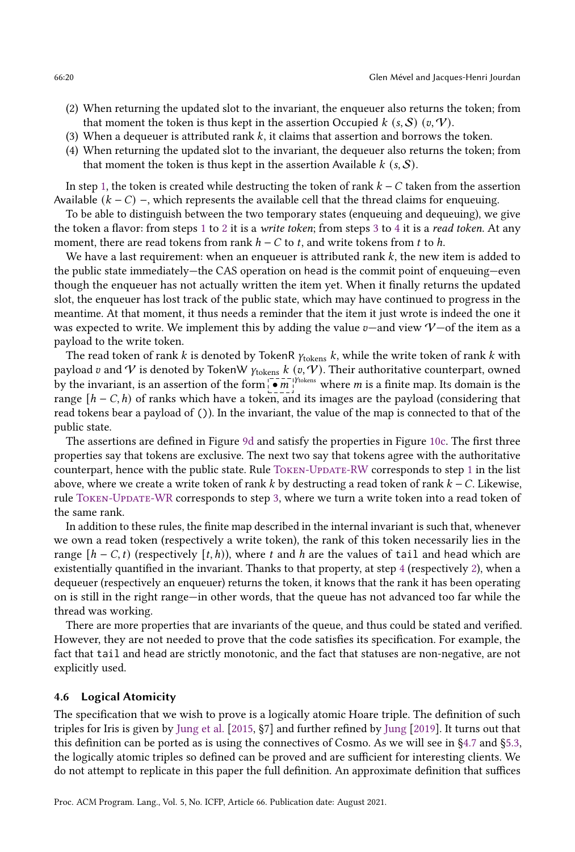- <span id="page-19-1"></span>(2) When returning the updated slot to the invariant, the enqueuer also returns the token; from that moment the token is thus kept in the assertion Occupied  $k$  (s, S) (v, V).
- <span id="page-19-2"></span>(3) When a dequeuer is attributed rank  $k$ , it claims that assertion and borrows the token.
- <span id="page-19-3"></span>(4) When returning the updated slot to the invariant, the dequeuer also returns the token; from that moment the token is thus kept in the assertion Available  $k$  (s,  $\mathcal{S}$ ).

In step [1,](#page-18-0) the token is created while destructing the token of rank  $k - C$  taken from the assertion Available  $(k - C)$  –, which represents the available cell that the thread claims for enqueuing.

To be able to distinguish between the two temporary states (enqueuing and dequeuing), we give the token a flavor: from steps [1](#page-18-0) to [2](#page-19-1) it is a write token; from steps [3](#page-19-2) to [4](#page-19-3) it is a read token. At any moment, there are read tokens from rank  $h - C$  to  $t$ , and write tokens from  $t$  to  $h$ .

We have a last requirement: when an enqueuer is attributed rank  $k$ , the new item is added to the public state immediately—the CAS operation on head is the commit point of enqueuing—even though the enqueuer has not actually written the item yet. When it finally returns the updated slot, the enqueuer has lost track of the public state, which may have continued to progress in the meantime. At that moment, it thus needs a reminder that the item it just wrote is indeed the one it was expected to write. We implement this by adding the value  $v$ —and view  $V$ —of the item as a payload to the write token.

The read token of rank k is denoted by TokenR  $y_{\text{tokens}}$  k, while the write token of rank k with payload v and V is denoted by TokenW  $\gamma_{\text{tokens}} k$  (v, V). Their authoritative counterpart, owned by the invariant, is an assertion of the form  $\overline{\bullet}$  m. The same where *m* is a finite map. Its domain is the range  $[h - C, h)$  of ranks which have a token, and its images are the payload (considering that read tokens bear a payload of ()). In the invariant, the value of the map is connected to that of the public state.

The assertions are defined in Figure [9d](#page-14-0) and satisfy the properties in Figure [10c.](#page-16-0) The first three properties say that tokens are exclusive. The next two say that tokens agree with the authoritative counterpart, hence with the public state. Rule [Token-Update-RW](#page-16-6) corresponds to step [1](#page-18-0) in the list above, where we create a write token of rank  $k$  by destructing a read token of rank  $k - C$ . Likewise, rule [Token-Update-WR](#page-16-7) corresponds to step [3,](#page-19-2) where we turn a write token into a read token of the same rank.

In addition to these rules, the finite map described in the internal invariant is such that, whenever we own a read token (respectively a write token), the rank of this token necessarily lies in the range  $[h - C, t)$  (respectively  $[t, h)$ ), where t and h are the values of tail and head which are existentially quantified in the invariant. Thanks to that property, at step [4](#page-19-3) (respectively [2\)](#page-19-1), when a dequeuer (respectively an enqueuer) returns the token, it knows that the rank it has been operating on is still in the right range—in other words, that the queue has not advanced too far while the thread was working.

There are more properties that are invariants of the queue, and thus could be stated and verified. However, they are not needed to prove that the code satisfies its specification. For example, the fact that tail and head are strictly monotonic, and the fact that statuses are non-negative, are not explicitly used.

#### <span id="page-19-0"></span>4.6 Logical Atomicity

The specification that we wish to prove is a logically atomic Hoare triple. The definition of such triples for Iris is given by [Jung et al.](#page-27-5) [\[2015,](#page-27-5) ğ7] and further refined by [Jung](#page-27-13) [\[2019\]](#page-27-13). It turns out that this definition can be ported as is using the connectives of Cosmo. As we will see in [ğ4.7](#page-20-0) and [ğ5.3,](#page-24-0) the logically atomic triples so defined can be proved and are sufficient for interesting clients. We do not attempt to replicate in this paper the full definition. An approximate definition that suffices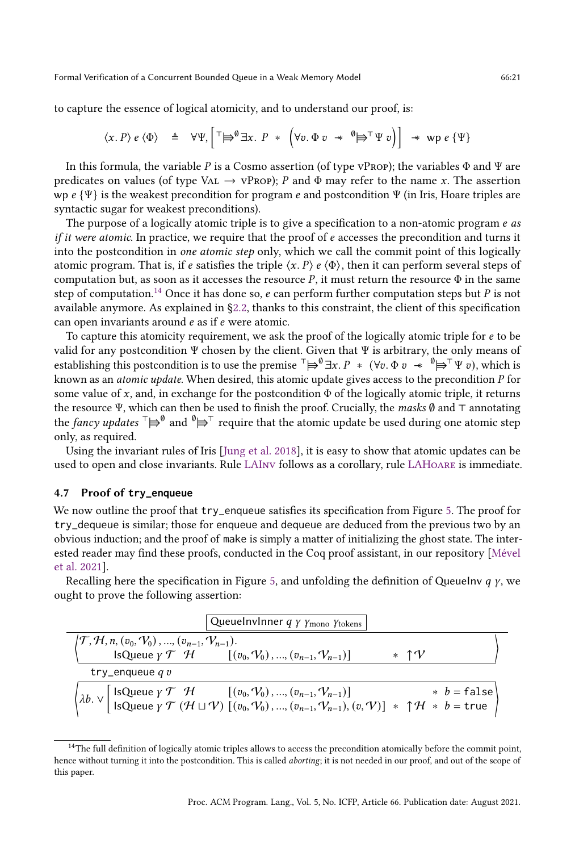to capture the essence of logical atomicity, and to understand our proof, is:

$$
\langle x, P \rangle e \langle \Phi \rangle \triangleq \forall \Psi, \left[ \ulcorner \Rightarrow^0 \exists x. P * \left( \forall v. \Phi v \; * \; \theta \Rightarrow^T \Psi v \right) \right] \; * \; \text{wp } e \{ \Psi \}
$$

In this formula, the variable P is a Cosmo assertion (of type vPROP); the variables  $\Phi$  and  $\Psi$  are predicates on values (of type VAL  $\rightarrow$  vProp); P and  $\Phi$  may refer to the name x. The assertion wp  $\ell \{ \Psi \}$  is the weakest precondition for program  $\ell$  and postcondition  $\Psi$  (in Iris, Hoare triples are syntactic sugar for weakest preconditions).

The purpose of a logically atomic triple is to give a specification to a non-atomic program  $e$  as *if it were atomic.* In practice, we require that the proof of  $e$  accesses the precondition and turns it into the postcondition in one atomic step only, which we call the commit point of this logically atomic program. That is, if e satisfies the triple  $\langle x, P \rangle e \langle \Phi \rangle$ , then it can perform several steps of computation but, as soon as it accesses the resource  $P$ , it must return the resource  $\Phi$  in the same step of computation.<sup>[14](#page-0-0)</sup> Once it has done so, e can perform further computation steps but P is not available anymore. As explained in [ğ2.2,](#page-3-1) thanks to this constraint, the client of this specification can open invariants around  $e$  as if  $e$  were atomic.

To capture this atomicity requirement, we ask the proof of the logically atomic triple for  $e$  to be valid for any postcondition Ψ chosen by the client. Given that Ψ is arbitrary, the only means of establishing this postcondition is to use the premise  $\bar{a} \not\equiv \emptyset \exists x \ldotp P \ast (\forall v \ldotp \Phi v \ast \emptyset \Rightarrow \bar{a} \forall v \ldotp p, \text{ which is }$ known as an *atomic update*. When desired, this atomic update gives access to the precondition  $P$  for some value of x, and, in exchange for the postcondition  $\Phi$  of the logically atomic triple, it returns the resource Ψ, which can then be used to finish the proof. Crucially, the masks Ø and ⊤ annotating the fancy updates  $\bar{f} \mapsto^0$  and  $\bar{g} \mapsto^T$  require that the atomic update be used during one atomic step only, as required.

Using the invariant rules of Iris [\[Jung et al.](#page-27-6) [2018\]](#page-27-6), it is easy to show that atomic updates can be used to open and close invariants. Rule [LAInv](#page-5-2) follows as a corollary, rule [LAHoare](#page-5-1) is immediate.

#### <span id="page-20-0"></span>4.7 Proof of **try\_enqueue**

We now outline the proof that try\_enqueue satisfies its specification from Figure [5.](#page-7-0) The proof for try\_dequeue is similar; those for enqueue and dequeue are deduced from the previous two by an obvious induction; and the proof of make is simply a matter of initializing the ghost state. The interested reader may find these proofs, conducted in the Coq proof assistant, in our repository [\[Mével](#page-27-15) [et al. 2021\]](#page-27-15).

Recalling here the specification in Figure [5,](#page-7-0) and unfolding the definition of Queuelnv  $q \gamma$ , we ought to prove the following assertion:

| Queuelnvlnner $q \gamma$ $\gamma$ <sub>mono</sub> $\gamma$ <sub>tokens</sub>                                                                                                                                                                                                                                                                                                                                                                                                                                          |           |  |  |  |  |
|-----------------------------------------------------------------------------------------------------------------------------------------------------------------------------------------------------------------------------------------------------------------------------------------------------------------------------------------------------------------------------------------------------------------------------------------------------------------------------------------------------------------------|-----------|--|--|--|--|
| $ T, H, n, (v_0, V_0), , (v_{n-1}, V_{n-1}).$                                                                                                                                                                                                                                                                                                                                                                                                                                                                         |           |  |  |  |  |
| IsQueue $\gamma$ $\mathcal{T}$ $\mathcal{H}$ $[(v_0, V_0), , (v_{n-1}, V_{n-1})]$                                                                                                                                                                                                                                                                                                                                                                                                                                     | $*$ 1 $V$ |  |  |  |  |
| try_enqueue $q v$                                                                                                                                                                                                                                                                                                                                                                                                                                                                                                     |           |  |  |  |  |
| $\left\{\lambda b.\vee\left[\begin{array}{l} \text{IsQueue } \gamma \mathcal{T} & \mathcal{H} \\ \text{IsQueue } \gamma \mathcal{T} & (\mathcal{H} \sqcup \mathcal{V}) \end{array}\left[\begin{array}{l} (v_0, \mathcal{V}_0), , (v_{n-1}, \mathcal{V}_{n-1}) \end{array}\right] \right. \\ \left.\left. \begin{array}{l} * & b = \text{false} \\ \text{IsQueue } \gamma \mathcal{T} & (\mathcal{H} \sqcup \mathcal{V}) \end{array}\right] \left(\begin{array}{l} (v_0, \mathcal{V}_0), , (v_{n-1}, \mathcal{V}_{n-1$ |           |  |  |  |  |

<sup>&</sup>lt;sup>14</sup>The full definition of logically atomic triples allows to access the precondition atomically before the commit point, hence without turning it into the postcondition. This is called *aborting*; it is not needed in our proof, and out of the scope of this paper.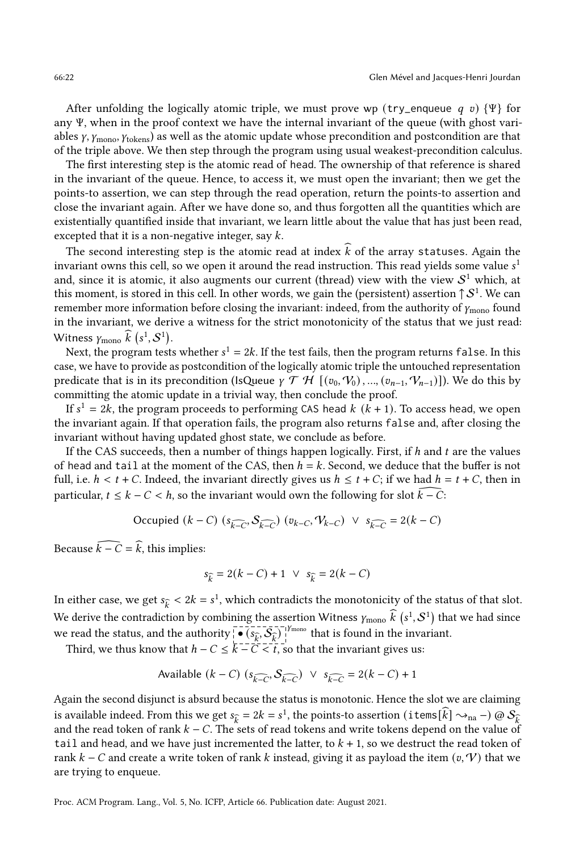After unfolding the logically atomic triple, we must prove wp (try\_enqueue  $q \, v$ ) {Ψ} for any Ψ, when in the proof context we have the internal invariant of the queue (with ghost variables  $\gamma$ ,  $\gamma$ <sub>mono</sub>,  $\gamma$ <sub>tokens</sub>) as well as the atomic update whose precondition and postcondition are that of the triple above. We then step through the program using usual weakest-precondition calculus.

The first interesting step is the atomic read of head. The ownership of that reference is shared in the invariant of the queue. Hence, to access it, we must open the invariant; then we get the points-to assertion, we can step through the read operation, return the points-to assertion and close the invariant again. After we have done so, and thus forgotten all the quantities which are existentially quantified inside that invariant, we learn little about the value that has just been read, excepted that it is a non-negative integer, say  $k$ .

The second interesting step is the atomic read at index  $k$  of the array statuses. Again the invariant owns this cell, so we open it around the read instruction. This read yields some value  $s^1$ and, since it is atomic, it also augments our current (thread) view with the view  $\mathcal{S}^1$  which, at this moment, is stored in this cell. In other words, we gain the (persistent) assertion  $\uparrow \mathcal{S}^1.$  We can remember more information before closing the invariant: indeed, from the authority of  $\gamma_{\rm mono}$  found in the invariant, we derive a witness for the strict monotonicity of the status that we just read: Witness  $\gamma_{\text{mono}} \widehat{k} (s^1, \mathcal{S}^1)$ .

Next, the program tests whether  $s^1 = 2k$ . If the test fails, then the program returns false. In this case, we have to provide as postcondition of the logically atomic triple the untouched representation predicate that is in its precondition (IsQueue  $\gamma \mathcal{T} \mathcal{H}$   $[(v_0, V_0), ..., (v_{n-1}, V_{n-1})]$ ). We do this by committing the atomic update in a trivial way, then conclude the proof.

If  $s^1 = 2k$ , the program proceeds to performing CAS head  $k$   $(k + 1)$ . To access head, we open the invariant again. If that operation fails, the program also returns false and, after closing the invariant without having updated ghost state, we conclude as before.

If the CAS succeeds, then a number of things happen logically. First, if  $h$  and  $t$  are the values of head and tail at the moment of the CAS, then  $h = k$ . Second, we deduce that the buffer is not full, i.e.  $h < t + C$ . Indeed, the invariant directly gives us  $h \le t + C$ ; if we had  $h = t + C$ , then in particular,  $t \leq k - C < h$ , so the invariant would own the following for slot  $k - C$ :

Occupied 
$$
(k - C)
$$
  $(s_{k-C}, S_{k-C})$   $(v_{k-C}, V_{k-C})$   $\vee$   $s_{k-C} = 2(k - C)$ 

Because  $\widehat{k - C} = \widehat{k}$ , this implies:

$$
s_{\hat{k}} = 2(k - C) + 1 \lor s_{\hat{k}} = 2(k - C)
$$

In either case, we get  $s_{\hat{k}} < 2k = s^1$ , which contradicts the monotonicity of the status of that slot. We derive the contradiction by combining the assertion Witness  $\gamma_{\text{mono}}\hat{k}(s^1, S^1)$  that we had since we read the status, and the authority  $\left( \frac{\partial \hat{p}}{\partial \hat{p}}, \mathcal{S}_{\hat{p}} \right)$   $\left| \begin{array}{c} \text{from} \\ \text{from} \end{array} \right|$  that is found in the invariant.

Third, we thus know that  $h - C \leq \overline{k - C} < t$ , so that the invariant gives us:

Available 
$$
(k - C)
$$
  $(s_{k-C}, S_{k-C}) \lor s_{k-C} = 2(k - C) + 1$ 

Again the second disjunct is absurd because the status is monotonic. Hence the slot we are claiming is available indeed. From this we get  $s_{\hat{k}} = 2k = s^1$ , the points-to assertion (items[ $\hat{k}$ ]  $\rightsquigarrow$ <sub>na</sub> –)  $\circledcirc S_{\hat{k}}$ and the read token of rank  $k - C$ . The sets of read tokens and write tokens depend on the value of tail and head, and we have just incremented the latter, to  $k + 1$ , so we destruct the read token of rank  $k - C$  and create a write token of rank k instead, giving it as payload the item  $(v, V)$  that we are trying to enqueue.

Proc. ACM Program. Lang., Vol. 5, No. ICFP, Article 66. Publication date: August 2021.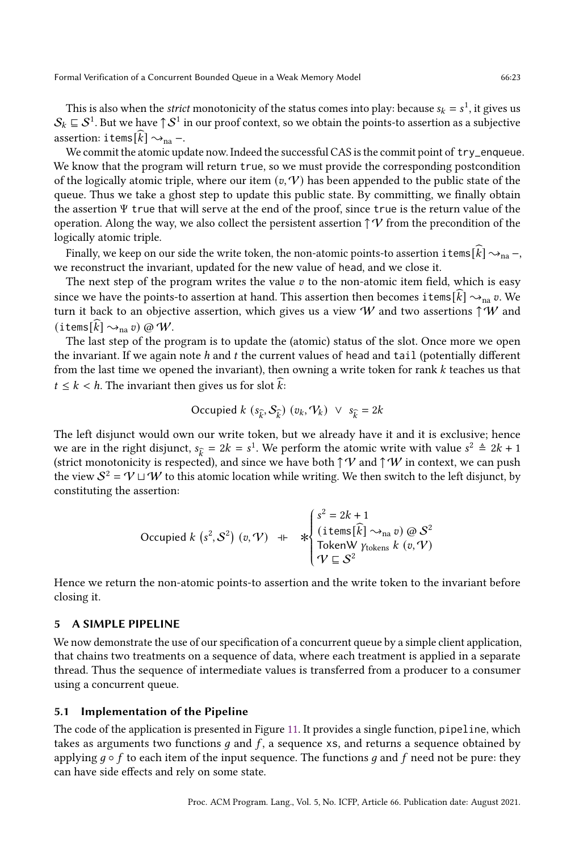This is also when the *strict* monotonicity of the status comes into play: because  $s_k = s^1$ , it gives us  $\mathcal{S}_k\sqsubseteq\mathcal{S}^1.$  But we have  $\uparrow\mathcal{S}^1$  in our proof context, so we obtain the points-to assertion as a subjective assertion: items[ $k$ ]  $\rightsquigarrow_{\text{na}}$  –.

We commit the atomic update now. Indeed the successful CAS is the commit point of try\_enqueue. We know that the program will return true, so we must provide the corresponding postcondition of the logically atomic triple, where our item  $(v, V)$  has been appended to the public state of the queue. Thus we take a ghost step to update this public state. By committing, we finally obtain the assertion Ψ true that will serve at the end of the proof, since true is the return value of the operation. Along the way, we also collect the persistent assertion  $\uparrow \mathcal{V}$  from the precondition of the logically atomic triple.

Finally, we keep on our side the write token, the non-atomic points-to assertion items[k]  $\sim_{\text{na}}$  –, we reconstruct the invariant, updated for the new value of head, and we close it.

The next step of the program writes the value  $v$  to the non-atomic item field, which is easy since we have the points-to assertion at hand. This assertion then becomes items $\vec{k} \rightarrow \infty$ <sub>na</sub>  $\vec{v}$ . We turn it back to an objective assertion, which gives us a view W and two assertions  $\uparrow$  W and (items[ $k$ ]  $\rightsquigarrow_{\text{na}} v$ ) @ W.

The last step of the program is to update the (atomic) status of the slot. Once more we open the invariant. If we again note  $h$  and  $t$  the current values of head and tail (potentially different from the last time we opened the invariant), then owning a write token for rank k teaches us that  $t \leq k < h$ . The invariant then gives us for slot k:

Occupied 
$$
k
$$
 ( $s_{\hat{k}}$ ,  $S_{\hat{k}}$ ) ( $v_k$ ,  $V_k$ )  $\vee$   $s_{\hat{k}} = 2k$ 

The left disjunct would own our write token, but we already have it and it is exclusive; hence we are in the right disjunct,  $s_{\hat{k}} = 2k = s^1$ . We perform the atomic write with value  $s^2 \triangleq 2k + 1$ (strict monotonicity is respected), and since we have both  $\uparrow \mathcal{V}$  and  $\uparrow \mathcal{W}$  in context, we can push the view  $S^2 = V ⊔ W$  to this atomic location while writing. We then switch to the left disjunct, by constituting the assertion:

Occupied 
$$
k
$$
 ( $s^2$ ,  $S^2$ ) ( $v$ ,  $V$ )  $+$ 

\n
$$
\begin{cases}\n s^2 = 2k + 1 \\
 \text{(items}[\widehat{k}] \rightsquigarrow_{\text{na}} v) \text{ @ } S^2 \\
 \text{TokenW  $\gamma_{\text{tokens}} k$  ( $v$ ,  $V$ )\n
$$

Hence we return the non-atomic points-to assertion and the write token to the invariant before closing it.

## <span id="page-22-0"></span>5 A SIMPLE PIPELINE

We now demonstrate the use of our specification of a concurrent queue by a simple client application, that chains two treatments on a sequence of data, where each treatment is applied in a separate thread. Thus the sequence of intermediate values is transferred from a producer to a consumer using a concurrent queue.

#### 5.1 Implementation of the Pipeline

The code of the application is presented in Figure [11.](#page-23-0) It provides a single function, pipeline, which takes as arguments two functions  $q$  and  $f$ , a sequence xs, and returns a sequence obtained by applying  $q \circ f$  to each item of the input sequence. The functions q and f need not be pure: they can have side effects and rely on some state.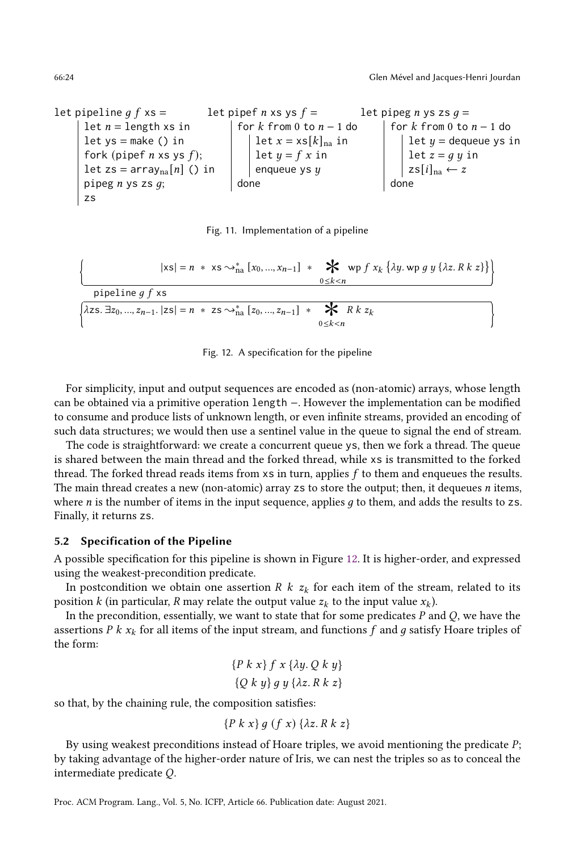<span id="page-23-0"></span>let pipeline  $q f$  xs = let  $n =$  length xs in let  $ys = make() in$ fork (pipef  $n \times s$  ys  $f$ ); let zs =  $\arctan\left[n\right]$  () in pipeg  $n$  ys zs  $q$ ; zs let pipef *n* xs ys  $f =$ for  $k$  from 0 to  $n - 1$  do let  $x = xs[k]_{na}$  in let  $y = f x$  in enqueue ys  $y$ done let pipeg *n* ys zs  $q =$ for  $k$  from 0 to  $n - 1$  do let  $y =$  dequeue ys in let  $z = g y$  in  $zs[i]_{na} \leftarrow z$ done



<span id="page-23-1"></span>
$$
\left\{\n\begin{array}{c}\n\left|\n\mathbf{x}\mathbf{s}\right| = n \cdot \mathbf{x}\mathbf{s} \sim_{\text{na}}^* \left[x_0, ..., x_{n-1}\right] \cdot \mathbf{X} \quad \text{wpf } x_k \quad \text{by } y \quad \text{if } x \in \mathbb{R} \right\} \\
\text{pipeline } g \quad f \quad \text{xs} \\
\text{if } \mathbf{x}\mathbf{s} = \mathbf{x} \quad \text{if } x \in \mathbb{R} \text{ and } y \in \mathbb{R} \text{ and } y \in \mathbb{R} \text{ and } y \in \mathbb{R} \text{ and } y \in \mathbb{R} \text{ and } y \in \mathbb{R} \text{ and } y \in \mathbb{R} \text{ and } y \in \mathbb{R} \text{ and } y \in \mathbb{R} \text{ and } y \in \mathbb{R} \text{ and } y \in \mathbb{R} \text{ and } y \in \mathbb{R} \text{ and } y \in \mathbb{R} \text{ and } y \in \mathbb{R} \text{ and } y \in \mathbb{R} \text{ and } y \in \mathbb{R} \text{ and } y \in \mathbb{R} \text{ and } y \in \mathbb{R} \text{ and } y \in \mathbb{R} \text{ and } y \in \mathbb{R} \text{ and } y \in \mathbb{R} \text{ and } y \in \mathbb{R} \text{ and } y \in \mathbb{R} \text{ and } y \in \mathbb{R} \text{ and } y \in \mathbb{R} \text{ and } y \in \mathbb{R} \text{ and } y \in \mathbb{R} \text{ and } y \in \mathbb{R} \text{ and } y \in \mathbb{R} \text{ and } y \in \mathbb{R} \text{ and } y \in \mathbb{R} \text{ and } y \in \mathbb{R} \text{ and } y \in \mathbb{R} \text{ and } y \in \mathbb{R} \text{ and } y \in \mathbb{R} \text{ and } y \in \mathbb{R} \text{ and } y \in \mathbb{R} \text{ and } y \in \mathbb{R} \text{ and } y \in \mathbb{R} \text{ and } y \in \mathbb{R} \text{ and } y \in \mathbb{R} \text{ and } y \in \mathbb{R} \text{ and } y \in \mathbb{R} \text{ and
$$

Fig. 12. A specification for the pipeline

For simplicity, input and output sequences are encoded as (non-atomic) arrays, whose length can be obtained via a primitive operation length −. However the implementation can be modified to consume and produce lists of unknown length, or even infinite streams, provided an encoding of such data structures; we would then use a sentinel value in the queue to signal the end of stream.

The code is straightforward: we create a concurrent queue ys, then we fork a thread. The queue is shared between the main thread and the forked thread, while xs is transmitted to the forked thread. The forked thread reads items from  $x$ s in turn, applies  $f$  to them and enqueues the results. The main thread creates a new (non-atomic) array  $zs$  to store the output; then, it dequeues  $n$  items, where  $n$  is the number of items in the input sequence, applies  $g$  to them, and adds the results to zs. Finally, it returns zs.

## 5.2 Specification of the Pipeline

A possible specification for this pipeline is shown in Figure [12.](#page-23-1) It is higher-order, and expressed using the weakest-precondition predicate.

In postcondition we obtain one assertion R  $k z_k$  for each item of the stream, related to its position k (in particular, R may relate the output value  $z_k$  to the input value  $x_k$ ).

In the precondition, essentially, we want to state that for some predicates  $P$  and  $Q$ , we have the assertions  $P k x_k$  for all items of the input stream, and functions  $f$  and  $g$  satisfy Hoare triples of the form:

$$
\{P \ k \ x\} \ f \ x \ \{\lambda y.\ Q \ k \ y\}
$$

$$
\{Q \ k \ y\} \ g \ y \ \{\lambda z.\ R \ k \ z\}
$$

so that, by the chaining rule, the composition satisfies:

$$
\{P \; k \; x\} \; g \; (f \; x) \; \{\lambda z. \; R \; k \; z\}
$$

By using weakest preconditions instead of Hoare triples, we avoid mentioning the predicate  $P$ ; by taking advantage of the higher-order nature of Iris, we can nest the triples so as to conceal the intermediate predicate  $Q$ .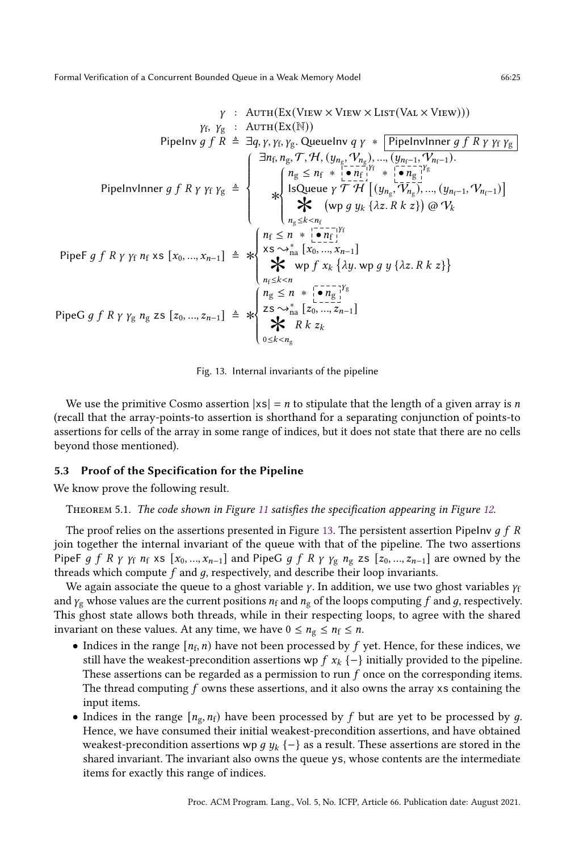<span id="page-24-1"></span>
$$
\gamma: \text{AUT}(\text{Ex}(\text{View} \times \text{View} \times \text{LIST}(\text{Val} \times \text{View})))
$$
\n
$$
\gamma_{f}, \gamma_{g}: \text{AUT}(\text{Ex}(\mathbb{N}))
$$
\n
$$
\text{Pipelnv } g f R \triangleq \exists q, \gamma, \gamma_{f}, \gamma_{g}. \text{Queue } q \gamma * \text{Pipelnvlner } g f R \gamma \gamma_{f} \gamma_{g}
$$
\n
$$
\exists n_{f}, n_{g}, \mathcal{T}, \mathcal{H}, (y_{n_{g}}, \mathcal{V}_{n_{g}}), \dots, (y_{n_{f}-1}, \mathcal{V}_{n_{f}-1}).
$$
\n
$$
\text{Pipelnvlner } g f R \gamma \gamma_{f} \gamma_{g} \triangleq \begin{cases}\n\exists n_{f}, n_{g}, \mathcal{T}, \mathcal{H}, (y_{n_{g}}, \mathcal{V}_{n_{g}}), \dots, (y_{n_{f}-1}, \mathcal{V}_{n_{f}-1}). \\
\exists \mathbf{Q}_{g} \le n_{f} * \text{Lors}_{f} \mathbf{P}_{f} \mathbf{P}_{f} \mathbf{P}_{g} \mathbf{P}_{g} \mathbf{P}_{g} \mathbf{P}_{g} \mathbf{P}_{g} \mathbf{P}_{g} \mathbf{P}_{g} \mathbf{P}_{g} \mathbf{P}_{g} \mathbf{P}_{g} \mathbf{P}_{g} \mathbf{P}_{g} \mathbf{P}_{g} \mathbf{P}_{g} \mathbf{P}_{g} \mathbf{P}_{g} \mathbf{P}_{g} \mathbf{P}_{g} \mathbf{P}_{g} \mathbf{P}_{g} \mathbf{P}_{g} \mathbf{P}_{g} \mathbf{P}_{g} \mathbf{P}_{g} \mathbf{P}_{g} \mathbf{P}_{g} \mathbf{P}_{g} \mathbf{P}_{g} \mathbf{P}_{g} \mathbf{P}_{g} \mathbf{P}_{g} \mathbf{P}_{g} \mathbf{P}_{g} \mathbf{P}_{g} \mathbf{P}_{g} \mathbf{P}_{g} \mathbf{P}_{g} \mathbf{P}_{g} \mathbf{P}_{g} \mathbf{P}_{g} \mathbf{P}_{g} \mathbf{P}_{g} \mathbf{P}_{g} \mathbf{P}_{g} \mathbf{P}_{g} \mathbf{P}_{g} \mathbf{P}_{g} \mathbf{P}_{g} \mathbf{P
$$

Fig. 13. Internal invariants of the pipeline

We use the primitive Cosmo assertion  $|xS| = n$  to stipulate that the length of a given array is n (recall that the array-points-to assertion is shorthand for a separating conjunction of points-to assertions for cells of the array in some range of indices, but it does not state that there are no cells beyond those mentioned).

# <span id="page-24-0"></span>5.3 Proof of the Specification for the Pipeline

We know prove the following result.

Theorem 5.1. The code shown in Figure [11](#page-23-0) satisfies the specification appearing in Figure [12.](#page-23-1)

The proof relies on the assertions presented in Figure [13.](#page-24-1) The persistent assertion PipeInv  $g f R$ join together the internal invariant of the queue with that of the pipeline. The two assertions PipeF g f R  $\gamma$   $\gamma_f$   $n_f$  xs  $[x_0, ..., x_{n-1}]$  and PipeG g f R  $\gamma$   $\gamma_g$   $n_g$  zs  $[z_0, ..., z_{n-1}]$  are owned by the threads which compute  $f$  and  $g$ , respectively, and describe their loop invariants.

We again associate the queue to a ghost variable  $\gamma$ . In addition, we use two ghost variables  $\gamma_f$ and  $\gamma_{\rm g}$  whose values are the current positions  $n_{\rm f}$  and  $n_{\rm g}$  of the loops computing f and g, respectively. This ghost state allows both threads, while in their respecting loops, to agree with the shared invariant on these values. At any time, we have  $0 \le n_g \le n_f \le n$ .

- Indices in the range  $[n_f, n]$  have not been processed by  $f$  yet. Hence, for these indices, we still have the weakest-precondition assertions wp  $f x_k \{-\}$  initially provided to the pipeline. These assertions can be regarded as a permission to run  $f$  once on the corresponding items. The thread computing  $f$  owns these assertions, and it also owns the array xs containing the input items.
- Indices in the range  $[n_g, n_f]$  have been processed by f but are yet to be processed by g. Hence, we have consumed their initial weakest-precondition assertions, and have obtained weakest-precondition assertions wp  $g y_k \{-\}$  as a result. These assertions are stored in the shared invariant. The invariant also owns the queue ys, whose contents are the intermediate items for exactly this range of indices.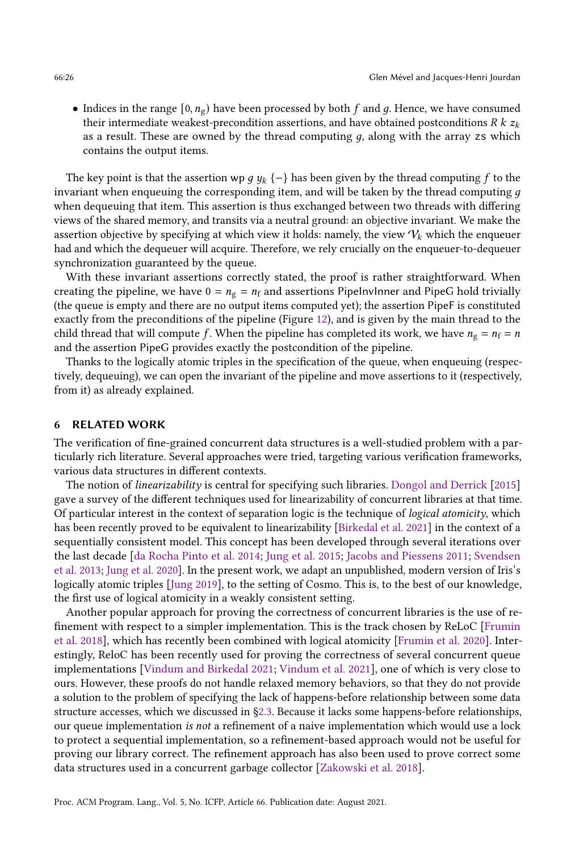• Indices in the range  $[0, n_g)$  have been processed by both f and g. Hence, we have consumed their intermediate weakest-precondition assertions, and have obtained postconditions R  $k z_k$ as a result. These are owned by the thread computing  $q$ , along with the array zs which contains the output items.

The key point is that the assertion wp  $g y_k$  {−} has been given by the thread computing f to the invariant when enqueuing the corresponding item, and will be taken by the thread computing  $g$ when dequeuing that item. This assertion is thus exchanged between two threads with differing views of the shared memory, and transits via a neutral ground: an objective invariant. We make the assertion objective by specifying at which view it holds: namely, the view  $V_k$  which the enqueuer had and which the dequeuer will acquire. Therefore, we rely crucially on the enqueuer-to-dequeuer synchronization guaranteed by the queue.

With these invariant assertions correctly stated, the proof is rather straightforward. When creating the pipeline, we have  $0 = n_g = n_f$  and assertions PipelnvInner and PipeG hold trivially (the queue is empty and there are no output items computed yet); the assertion PipeF is constituted exactly from the preconditions of the pipeline (Figure [12\)](#page-23-1), and is given by the main thread to the child thread that will compute f. When the pipeline has completed its work, we have  $n_g = n_f = n$ and the assertion PipeG provides exactly the postcondition of the pipeline.

Thanks to the logically atomic triples in the specification of the queue, when enqueuing (respectively, dequeuing), we can open the invariant of the pipeline and move assertions to it (respectively, from it) as already explained.

# <span id="page-25-0"></span>6 RELATED WORK

The verification of fine-grained concurrent data structures is a well-studied problem with a particularly rich literature. Several approaches were tried, targeting various verification frameworks, various data structures in different contexts.

The notion of linearizability is central for specifying such libraries. [Dongol and Derrick](#page-26-12) [\[2015\]](#page-26-12) gave a survey of the different techniques used for linearizability of concurrent libraries at that time. Of particular interest in the context of separation logic is the technique of *logical atomicity*, which has been recently proved to be equivalent to linearizability [\[Birkedal et al.](#page-26-13) [2021\]](#page-26-13) in the context of a sequentially consistent model. This concept has been developed through several iterations over the last decade [\[da Rocha Pinto et al.](#page-26-9) [2014;](#page-26-9) [Jung et al.](#page-27-5) [2015;](#page-27-5) [Jacobs and Piessens 2011;](#page-27-17) [Svendsen](#page-27-19) [et al.](#page-27-19) [2013;](#page-27-19) [Jung et al.](#page-27-20) [2020\]](#page-27-20). In the present work, we adapt an unpublished, modern version of Iris's logically atomic triples [\[Jung 2019\]](#page-27-13), to the setting of Cosmo. This is, to the best of our knowledge, the first use of logical atomicity in a weakly consistent setting.

Another popular approach for proving the correctness of concurrent libraries is the use of refinement with respect to a simpler implementation. This is the track chosen by ReLoC [\[Frumin](#page-26-7) [et al.](#page-26-7) [2018\]](#page-26-7), which has recently been combined with logical atomicity [\[Frumin et al.](#page-26-8) [2020\]](#page-26-8). Interestingly, ReloC has been recently used for proving the correctness of several concurrent queue implementations [\[Vindum and Birkedal 2021;](#page-28-3) [Vindum et al.](#page-28-4) [2021\]](#page-28-4), one of which is very close to ours. However, these proofs do not handle relaxed memory behaviors, so that they do not provide a solution to the problem of specifying the lack of happens-before relationship between some data structure accesses, which we discussed in [ğ2.3.](#page-6-0) Because it lacks some happens-before relationships, our queue implementation is not a refinement of a naive implementation which would use a lock to protect a sequential implementation, so a refinement-based approach would not be useful for proving our library correct. The refinement approach has also been used to prove correct some data structures used in a concurrent garbage collector [\[Zakowski et al. 2018\]](#page-28-2).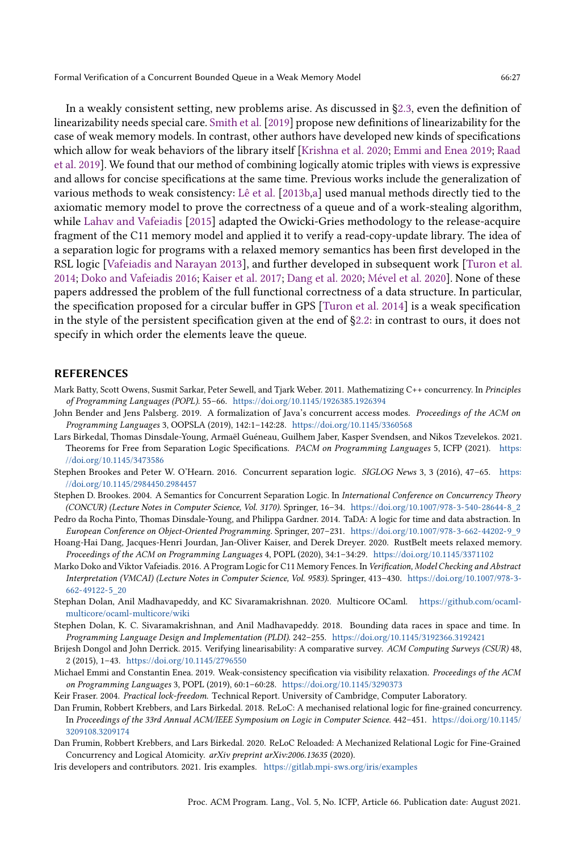In a weakly consistent setting, new problems arise. As discussed in [ğ2.3,](#page-6-0) even the definition of linearizability needs special care. [Smith et al.](#page-27-18) [\[2019\]](#page-27-18) propose new definitions of linearizability for the case of weak memory models. In contrast, other authors have developed new kinds of specifications which allow for weak behaviors of the library itself [\[Krishna et al.](#page-27-21) [2020;](#page-27-21) [Emmi and Enea 2019;](#page-26-14) [Raad](#page-27-22) [et al.](#page-27-22) [2019\]](#page-27-22). We found that our method of combining logically atomic triples with views is expressive and allows for concise specifications at the same time. Previous works include the generalization of various methods to weak consistency: [Lê et al.](#page-27-10) [\[2013b](#page-27-10)[,a\]](#page-27-11) used manual methods directly tied to the axiomatic memory model to prove the correctness of a queue and of a work-stealing algorithm, while [Lahav and Vafeiadis](#page-27-23) [\[2015\]](#page-27-23) adapted the Owicki-Gries methodology to the release-acquire fragment of the C11 memory model and applied it to verify a read-copy-update library. The idea of a separation logic for programs with a relaxed memory semantics has been first developed in the RSL logic [\[Vafeiadis and Narayan 2013\]](#page-28-6), and further developed in subsequent work [\[Turon et al.](#page-28-1) [2014;](#page-28-1) [Doko and Vafeiadis 2016;](#page-26-15) [Kaiser et al.](#page-27-7) [2017;](#page-27-7) [Dang et al.](#page-26-6) [2020;](#page-26-6) [Mével et al.](#page-27-8) [2020\]](#page-27-8). None of these papers addressed the problem of the full functional correctness of a data structure. In particular, the specification proposed for a circular buffer in GPS [\[Turon et al.](#page-28-1) [2014\]](#page-28-1) is a weak specification in the style of the persistent specification given at the end of [ğ2.2:](#page-3-1) in contrast to ours, it does not specify in which order the elements leave the queue.

## REFERENCES

- <span id="page-26-0"></span>Mark Batty, Scott Owens, Susmit Sarkar, Peter Sewell, and Tjark Weber. 2011. Mathematizing C++ concurrency. In Principles of Programming Languages (POPL). 55-66. <https://doi.org/10.1145/1926385.1926394>
- <span id="page-26-1"></span>John Bender and Jens Palsberg. 2019. A formalization of Java's concurrent access modes. Proceedings of the ACM on Programming Languages 3, OOPSLA (2019), 142:1-142:28. <https://doi.org/10.1145/3360568>
- <span id="page-26-13"></span>Lars Birkedal, Thomas Dinsdale-Young, Armaël Guéneau, Guilhem Jaber, Kasper Svendsen, and Nikos Tzevelekos. 2021. Theorems for Free from Separation Logic Specifications. PACM on Programming Languages 5, ICFP (2021). [https:](https://doi.org/10.1145/3473586) [//doi.org/10.1145/3473586](https://doi.org/10.1145/3473586)
- <span id="page-26-5"></span>Stephen Brookes and Peter W. O'Hearn. 2016. Concurrent separation logic. SIGLOG News 3, 3 (2016), 47–65. [https:](https://doi.org/10.1145/2984450.2984457) [//doi.org/10.1145/2984450.2984457](https://doi.org/10.1145/2984450.2984457)
- <span id="page-26-4"></span>Stephen D. Brookes. 2004. A Semantics for Concurrent Separation Logic. In International Conference on Concurrency Theory (CONCUR) (Lecture Notes in Computer Science, Vol. 3170). Springer, 16-34. [https://doi.org/10.1007/978-3-540-28644-8\\_2](https://doi.org/10.1007/978-3-540-28644-8_2)
- <span id="page-26-9"></span>Pedro da Rocha Pinto, Thomas Dinsdale-Young, and Philippa Gardner. 2014. TaDA: A logic for time and data abstraction. In European Conference on Object-Oriented Programming. Springer, 207-231. [https://doi.org/10.1007/978-3-662-44202-9\\_9](https://doi.org/10.1007/978-3-662-44202-9_9)
- <span id="page-26-6"></span>Hoang-Hai Dang, Jacques-Henri Jourdan, Jan-Oliver Kaiser, and Derek Dreyer. 2020. RustBelt meets relaxed memory. Proceedings of the ACM on Programming Languages 4, POPL (2020), 34:1-34:29. <https://doi.org/10.1145/3371102>
- <span id="page-26-15"></span>Marko Doko and Viktor Vafeiadis. 2016. A Program Logic for C11 Memory Fences. In Verification, Model Checking and Abstract Interpretation (VMCAI) (Lecture Notes in Computer Science, Vol. 9583). Springer, 413-430. [https://doi.org/10.1007/978-3-](https://doi.org/10.1007/978-3-662-49122-5_20) [662-49122-5\\_20](https://doi.org/10.1007/978-3-662-49122-5_20)
- <span id="page-26-3"></span>Stephan Dolan, Anil Madhavapeddy, and KC Sivaramakrishnan. 2020. Multicore OCaml. [https://github.com/ocaml](https://github.com/ocaml-multicore/ocaml-multicore/wiki)[multicore/ocaml-multicore/wiki](https://github.com/ocaml-multicore/ocaml-multicore/wiki)
- <span id="page-26-2"></span>Stephen Dolan, K. C. Sivaramakrishnan, and Anil Madhavapeddy. 2018. Bounding data races in space and time. In Programming Language Design and Implementation (PLDI). 242-255. <https://doi.org/10.1145/3192366.3192421>
- <span id="page-26-12"></span>Brijesh Dongol and John Derrick. 2015. Verifying linearisability: A comparative survey. ACM Computing Surveys (CSUR) 48, 2 (2015), 1-43. <https://doi.org/10.1145/2796550>
- <span id="page-26-14"></span>Michael Emmi and Constantin Enea. 2019. Weak-consistency specification via visibility relaxation. Proceedings of the ACM on Programming Languages 3, POPL (2019), 60:1-60:28. <https://doi.org/10.1145/3290373>
- <span id="page-26-11"></span>Keir Fraser. 2004. Practical lock-freedom. Technical Report. University of Cambridge, Computer Laboratory.
- <span id="page-26-7"></span>Dan Frumin, Robbert Krebbers, and Lars Birkedal. 2018. ReLoC: A mechanised relational logic for fine-grained concurrency. In Proceedings of the 33rd Annual ACM/IEEE Symposium on Logic in Computer Science. 442-451. [https://doi.org/10.1145/](https://doi.org/10.1145/3209108.3209174) [3209108.3209174](https://doi.org/10.1145/3209108.3209174)
- <span id="page-26-8"></span>Dan Frumin, Robbert Krebbers, and Lars Birkedal. 2020. ReLoC Reloaded: A Mechanized Relational Logic for Fine-Grained Concurrency and Logical Atomicity. arXiv preprint arXiv:2006.13635 (2020).
- <span id="page-26-10"></span>Iris developers and contributors. 2021. Iris examples. <https://gitlab.mpi-sws.org/iris/examples>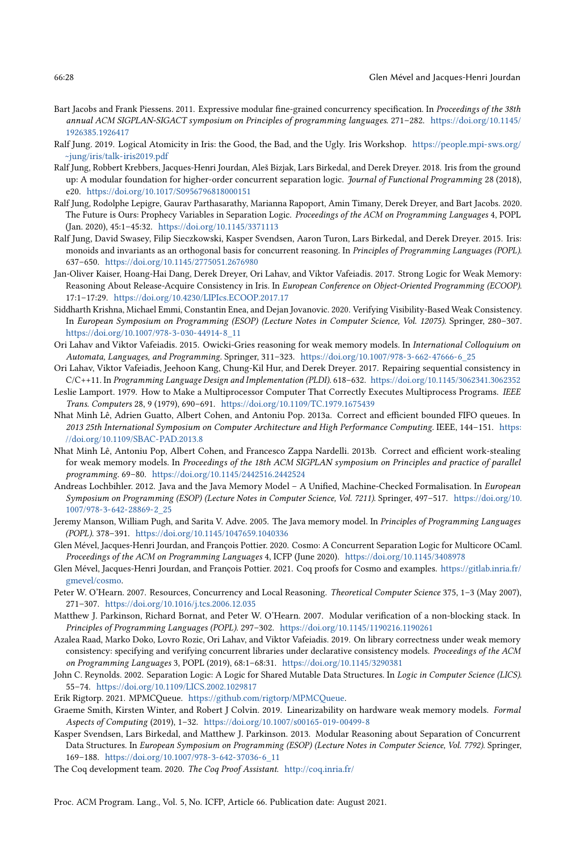- <span id="page-27-17"></span>Bart Jacobs and Frank Piessens. 2011. Expressive modular fine-grained concurrency specification. In Proceedings of the 38th annual ACM SIGPLAN-SIGACT symposium on Principles of programming languages. 271-282. [https://doi.org/10.1145/](https://doi.org/10.1145/1926385.1926417) [1926385.1926417](https://doi.org/10.1145/1926385.1926417)
- <span id="page-27-13"></span>Ralf Jung. 2019. Logical Atomicity in Iris: the Good, the Bad, and the Ugly. Iris Workshop. [https://people.mpi-sws.org/](https://people.mpi-sws.org/~jung/iris/talk-iris2019.pdf) [~jung/iris/talk-iris2019.pdf](https://people.mpi-sws.org/~jung/iris/talk-iris2019.pdf)
- <span id="page-27-6"></span>Ralf Jung, Robbert Krebbers, Jacques-Henri Jourdan, Aleš Bizjak, Lars Birkedal, and Derek Dreyer. 2018. Iris from the ground up: A modular foundation for higher-order concurrent separation logic. Journal of Functional Programming 28 (2018), e20. <https://doi.org/10.1017/S0956796818000151>
- <span id="page-27-20"></span>Ralf Jung, Rodolphe Lepigre, Gaurav Parthasarathy, Marianna Rapoport, Amin Timany, Derek Dreyer, and Bart Jacobs. 2020. The Future is Ours: Prophecy Variables in Separation Logic. Proceedings of the ACM on Programming Languages 4, POPL (Jan. 2020), 45:1-45:32. <https://doi.org/10.1145/3371113>
- <span id="page-27-5"></span>Ralf Jung, David Swasey, Filip Sieczkowski, Kasper Svendsen, Aaron Turon, Lars Birkedal, and Derek Dreyer. 2015. Iris: monoids and invariants as an orthogonal basis for concurrent reasoning. In Principles of Programming Languages (POPL). 637-650. <https://doi.org/10.1145/2775051.2676980>
- <span id="page-27-7"></span>Jan-Oliver Kaiser, Hoang-Hai Dang, Derek Dreyer, Ori Lahav, and Viktor Vafeiadis. 2017. Strong Logic for Weak Memory: Reasoning About Release-Acquire Consistency in Iris. In European Conference on Object-Oriented Programming (ECOOP). 17:1-17:29. <https://doi.org/10.4230/LIPIcs.ECOOP.2017.17>
- <span id="page-27-21"></span>Siddharth Krishna, Michael Emmi, Constantin Enea, and Dejan Jovanovic. 2020. Verifying Visibility-Based Weak Consistency. In European Symposium on Programming (ESOP) (Lecture Notes in Computer Science, Vol. 12075). Springer, 280-307. [https://doi.org/10.1007/978-3-030-44914-8\\_11](https://doi.org/10.1007/978-3-030-44914-8_11)
- <span id="page-27-23"></span>Ori Lahav and Viktor Vafeiadis. 2015. Owicki-Gries reasoning for weak memory models. In International Colloquium on Automata, Languages, and Programming. Springer, 311-323. [https://doi.org/10.1007/978-3-662-47666-6\\_25](https://doi.org/10.1007/978-3-662-47666-6_25)
- <span id="page-27-1"></span>Ori Lahav, Viktor Vafeiadis, Jeehoon Kang, Chung-Kil Hur, and Derek Dreyer. 2017. Repairing sequential consistency in C/C++11. In Programming Language Design and Implementation (PLDI). 618-632. <https://doi.org/10.1145/3062341.3062352>
- <span id="page-27-0"></span>Leslie Lamport. 1979. How to Make a Multiprocessor Computer That Correctly Executes Multiprocess Programs. IEEE Trans. Computers 28, 9 (1979), 690-691. <https://doi.org/10.1109/TC.1979.1675439>
- <span id="page-27-11"></span>Nhat Minh Lê, Adrien Guatto, Albert Cohen, and Antoniu Pop. 2013a. Correct and efficient bounded FIFO queues. In 2013 25th International Symposium on Computer Architecture and High Performance Computing. IEEE, 144-151. [https:](https://doi.org/10.1109/SBAC-PAD.2013.8) [//doi.org/10.1109/SBAC-PAD.2013.8](https://doi.org/10.1109/SBAC-PAD.2013.8)
- <span id="page-27-10"></span>Nhat Minh Lê, Antoniu Pop, Albert Cohen, and Francesco Zappa Nardelli. 2013b. Correct and efficient work-stealing for weak memory models. In Proceedings of the 18th ACM SIGPLAN symposium on Principles and practice of parallel programming. 69-80. <https://doi.org/10.1145/2442516.2442524>
- <span id="page-27-3"></span>Andreas Lochbihler. 2012. Java and the Java Memory Model - A Unified, Machine-Checked Formalisation. In European Symposium on Programming (ESOP) (Lecture Notes in Computer Science, Vol. 7211). Springer, 497-517. [https://doi.org/10.](https://doi.org/10.1007/978-3-642-28869-2_25) [1007/978-3-642-28869-2\\_25](https://doi.org/10.1007/978-3-642-28869-2_25)
- <span id="page-27-2"></span>Jeremy Manson, William Pugh, and Sarita V. Adve. 2005. The Java memory model. In Principles of Programming Languages (POPL). 378-391. <https://doi.org/10.1145/1047659.1040336>
- <span id="page-27-8"></span>Glen Mével, Jacques-Henri Jourdan, and François Pottier. 2020. Cosmo: A Concurrent Separation Logic for Multicore OCaml. Proceedings of the ACM on Programming Languages 4, ICFP (June 2020). <https://doi.org/10.1145/3408978>
- <span id="page-27-15"></span>Glen Mével, Jacques-Henri Jourdan, and François Pottier. 2021. Coq proofs for Cosmo and examples. [https://gitlab.inria.fr/](https://gitlab.inria.fr/gmevel/cosmo) [gmevel/cosmo.](https://gitlab.inria.fr/gmevel/cosmo)
- <span id="page-27-4"></span>Peter W. O'Hearn. 2007. Resources, Concurrency and Local Reasoning. Theoretical Computer Science 375, 1-3 (May 2007), 271-307. <https://doi.org/10.1016/j.tcs.2006.12.035>
- <span id="page-27-9"></span>Matthew J. Parkinson, Richard Bornat, and Peter W. O'Hearn. 2007. Modular verification of a non-blocking stack. In Principles of Programming Languages (POPL). 297-302. <https://doi.org/10.1145/1190216.1190261>
- <span id="page-27-22"></span>Azalea Raad, Marko Doko, Lovro Rozic, Ori Lahav, and Viktor Vafeiadis. 2019. On library correctness under weak memory consistency: specifying and verifying concurrent libraries under declarative consistency models. Proceedings of the ACM on Programming Languages 3, POPL (2019), 68:1-68:31. <https://doi.org/10.1145/3290381>
- <span id="page-27-16"></span>John C. Reynolds. 2002. Separation Logic: A Logic for Shared Mutable Data Structures. In Logic in Computer Science (LICS). 55-74. <https://doi.org/10.1109/LICS.2002.1029817>
- <span id="page-27-12"></span>Erik Rigtorp. 2021. MPMCQueue. [https://github.com/rigtorp/MPMCQueue.](https://github.com/rigtorp/MPMCQueue)
- <span id="page-27-18"></span>Graeme Smith, Kirsten Winter, and Robert J Colvin. 2019. Linearizability on hardware weak memory models. Formal Aspects of Computing (2019), 1-32. <https://doi.org/10.1007/s00165-019-00499-8>
- <span id="page-27-19"></span>Kasper Svendsen, Lars Birkedal, and Matthew J. Parkinson. 2013. Modular Reasoning about Separation of Concurrent Data Structures. In European Symposium on Programming (ESOP) (Lecture Notes in Computer Science, Vol. 7792). Springer, 169-188. [https://doi.org/10.1007/978-3-642-37036-6\\_11](https://doi.org/10.1007/978-3-642-37036-6_11)

<span id="page-27-14"></span>The Coq development team. 2020. The Coq Proof Assistant. <http://coq.inria.fr/>

Proc. ACM Program. Lang., Vol. 5, No. ICFP, Article 66. Publication date: August 2021.